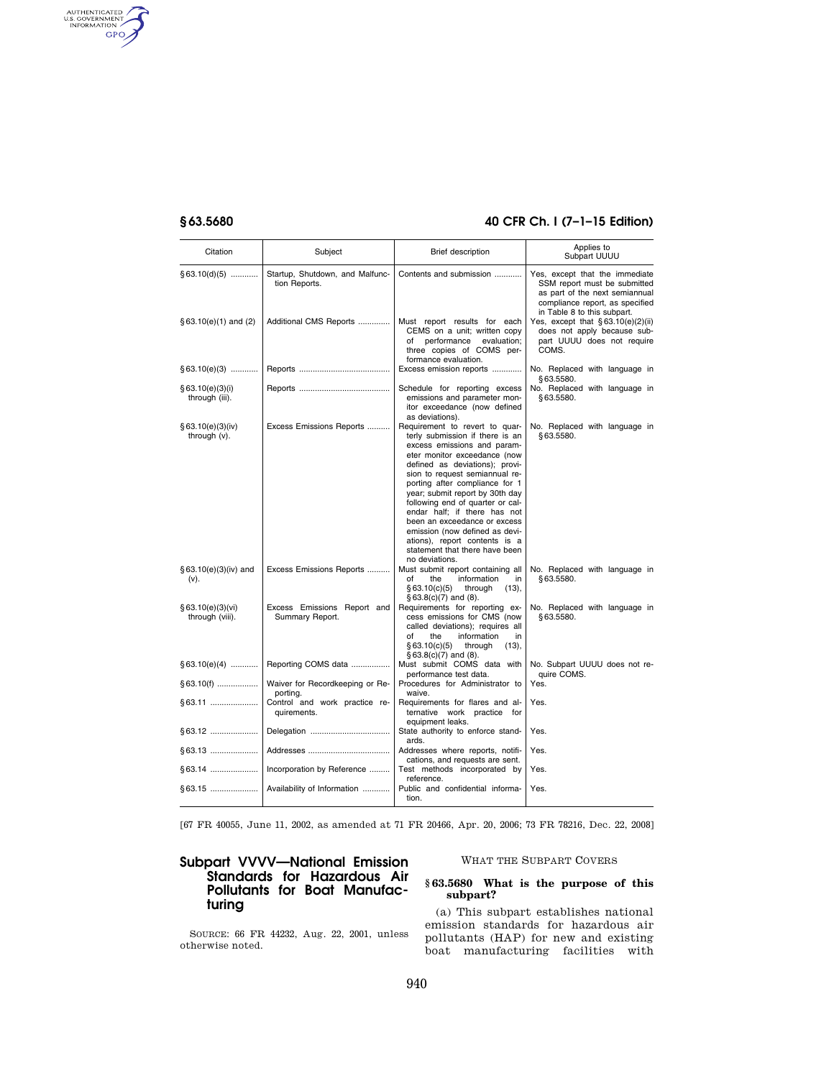authenticated<br>u.s. government<br>information<br>GPO

# **§ 63.5680 40 CFR Ch. I (7–1–15 Edition)**

| Citation                             | Subject                                          | Brief description                                                                                                                                                                                                                                                                                                                                                                                                                                                                                    | Applies to<br>Subpart UUUU                                                                                                                                         |
|--------------------------------------|--------------------------------------------------|------------------------------------------------------------------------------------------------------------------------------------------------------------------------------------------------------------------------------------------------------------------------------------------------------------------------------------------------------------------------------------------------------------------------------------------------------------------------------------------------------|--------------------------------------------------------------------------------------------------------------------------------------------------------------------|
| $§ 63.10(d)(5)$                      | Startup, Shutdown, and Malfunc-<br>tion Reports. | Contents and submission                                                                                                                                                                                                                                                                                                                                                                                                                                                                              | Yes, except that the immediate<br>SSM report must be submitted<br>as part of the next semiannual<br>compliance report, as specified<br>in Table 8 to this subpart. |
| $§63.10(e)(1)$ and (2)               | Additional CMS Reports                           | Must report results for each<br>CEMS on a unit; written copy<br>performance<br>evaluation;<br>of<br>three copies of COMS per-<br>formance evaluation.                                                                                                                                                                                                                                                                                                                                                | Yes, except that $§ 63.10(e)(2)(ii)$<br>does not apply because sub-<br>part UUUU does not require<br>COMS.                                                         |
| $§63.10(e)(3)$                       |                                                  | Excess emission reports                                                                                                                                                                                                                                                                                                                                                                                                                                                                              | No. Replaced with language in<br>\$63.5580.                                                                                                                        |
| § 63.10(e)(3)(i)<br>through (iii).   |                                                  | Schedule for reporting excess<br>emissions and parameter mon-<br>itor exceedance (now defined<br>as deviations).                                                                                                                                                                                                                                                                                                                                                                                     | No. Replaced with language in<br>\$63.5580.                                                                                                                        |
| § 63.10(e)(3)(iv)<br>through (v).    | Excess Emissions Reports                         | Requirement to revert to quar-<br>terly submission if there is an<br>excess emissions and param-<br>eter monitor exceedance (now<br>defined as deviations); provi-<br>sion to request semiannual re-<br>porting after compliance for 1<br>year; submit report by 30th day<br>following end of quarter or cal-<br>endar half; if there has not<br>been an exceedance or excess<br>emission (now defined as devi-<br>ations), report contents is a<br>statement that there have been<br>no deviations. | No. Replaced with language in<br>§63.5580.                                                                                                                         |
| $§ 63.10(e)(3)(iv)$ and<br>$(v)$ .   | Excess Emissions Reports                         | Must submit report containing all<br>information<br>of<br>the<br>in<br>§63.10(c)(5)<br>through<br>(13),<br>$§63.8(c)(7)$ and (8).                                                                                                                                                                                                                                                                                                                                                                    | No. Replaced with language in<br>§63.5580.                                                                                                                         |
| § 63.10(e)(3)(vi)<br>through (viii). | Excess Emissions Report and<br>Summary Report.   | Requirements for reporting ex-<br>cess emissions for CMS (now<br>called deviations); requires all<br>of<br>the<br>information<br>in<br>through<br>§63.10(c)(5)<br>$(13)$ ,<br>$§63.8(c)(7)$ and (8).                                                                                                                                                                                                                                                                                                 | No. Replaced with language in<br>\$63.5580.                                                                                                                        |
| $§ 63.10(e)(4)$                      | Reporting COMS data                              | Must submit COMS data with<br>performance test data.                                                                                                                                                                                                                                                                                                                                                                                                                                                 | No. Subpart UUUU does not re-<br>quire COMS.                                                                                                                       |
| $§ 63.10(f)$                         | Waiver for Recordkeeping or Re-<br>porting.      | Procedures for Administrator to<br>waive.                                                                                                                                                                                                                                                                                                                                                                                                                                                            | Yes.                                                                                                                                                               |
| §63.11                               | Control and work practice re-<br>quirements.     | Requirements for flares and al-<br>ternative work practice for<br>equipment leaks.                                                                                                                                                                                                                                                                                                                                                                                                                   | Yes.                                                                                                                                                               |
| §63.12                               |                                                  | State authority to enforce stand-<br>ards.                                                                                                                                                                                                                                                                                                                                                                                                                                                           | Yes.                                                                                                                                                               |
| §63.13                               |                                                  | Addresses where reports, notifi-<br>cations, and requests are sent.                                                                                                                                                                                                                                                                                                                                                                                                                                  | Yes.                                                                                                                                                               |
| §63.14                               | Incorporation by Reference                       | Test methods incorporated by<br>reference.                                                                                                                                                                                                                                                                                                                                                                                                                                                           | Yes.                                                                                                                                                               |
|                                      | Availability of Information                      | Public and confidential informa-<br>tion.                                                                                                                                                                                                                                                                                                                                                                                                                                                            | Yes.                                                                                                                                                               |

[67 FR 40055, June 11, 2002, as amended at 71 FR 20466, Apr. 20, 2006; 73 FR 78216, Dec. 22, 2008]

# **Subpart VVVV—National Emission Standards for Hazardous Air Pollutants for Boat Manufacturing**

SOURCE: 66 FR 44232, Aug. 22, 2001, unless otherwise noted.

# WHAT THE SUBPART COVERS

# **§ 63.5680 What is the purpose of this subpart?**

(a) This subpart establishes national emission standards for hazardous air pollutants (HAP) for new and existing boat manufacturing facilities with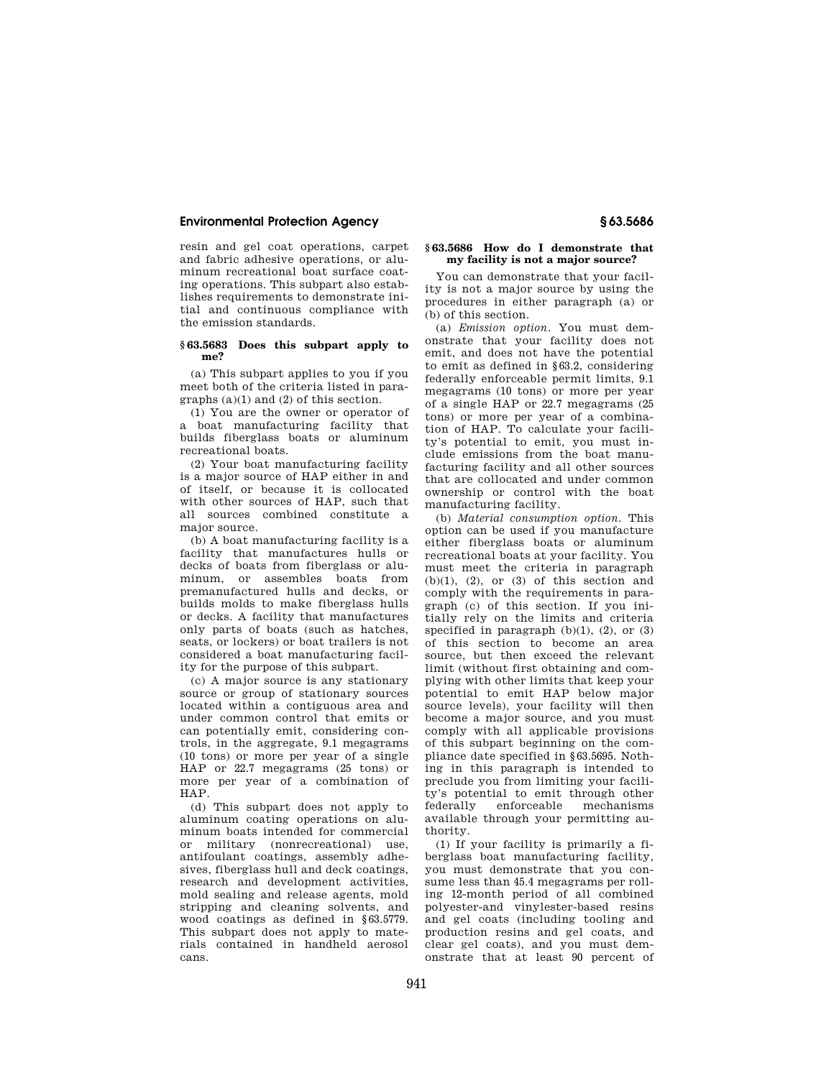resin and gel coat operations, carpet and fabric adhesive operations, or aluminum recreational boat surface coating operations. This subpart also establishes requirements to demonstrate initial and continuous compliance with the emission standards.

## **§ 63.5683 Does this subpart apply to me?**

(a) This subpart applies to you if you meet both of the criteria listed in paragraphs (a)(1) and (2) of this section.

(1) You are the owner or operator of a boat manufacturing facility that builds fiberglass boats or aluminum recreational boats.

(2) Your boat manufacturing facility is a major source of HAP either in and of itself, or because it is collocated with other sources of HAP, such that all sources combined constitute a major source.

(b) A boat manufacturing facility is a facility that manufactures hulls or decks of boats from fiberglass or aluminum, or assembles boats from premanufactured hulls and decks, or builds molds to make fiberglass hulls or decks. A facility that manufactures only parts of boats (such as hatches, seats, or lockers) or boat trailers is not considered a boat manufacturing facility for the purpose of this subpart.

(c) A major source is any stationary source or group of stationary sources located within a contiguous area and under common control that emits or can potentially emit, considering controls, in the aggregate, 9.1 megagrams (10 tons) or more per year of a single HAP or 22.7 megagrams (25 tons) or more per year of a combination of HAP.

(d) This subpart does not apply to aluminum coating operations on aluminum boats intended for commercial or military (nonrecreational) use, antifoulant coatings, assembly adhesives, fiberglass hull and deck coatings, research and development activities, mold sealing and release agents, mold stripping and cleaning solvents, and wood coatings as defined in §63.5779. This subpart does not apply to materials contained in handheld aerosol cans.

## **§ 63.5686 How do I demonstrate that my facility is not a major source?**

You can demonstrate that your facility is not a major source by using the procedures in either paragraph (a) or (b) of this section.

(a) *Emission option.* You must demonstrate that your facility does not emit, and does not have the potential to emit as defined in §63.2, considering federally enforceable permit limits, 9.1 megagrams (10 tons) or more per year of a single HAP or 22.7 megagrams (25 tons) or more per year of a combination of HAP. To calculate your facility's potential to emit, you must include emissions from the boat manufacturing facility and all other sources that are collocated and under common ownership or control with the boat manufacturing facility.

(b) *Material consumption option.* This option can be used if you manufacture either fiberglass boats or aluminum recreational boats at your facility. You must meet the criteria in paragraph  $(b)(1)$ ,  $(2)$ , or  $(3)$  of this section and comply with the requirements in paragraph (c) of this section. If you initially rely on the limits and criteria specified in paragraph  $(b)(1)$ ,  $(2)$ , or  $(3)$ of this section to become an area source, but then exceed the relevant limit (without first obtaining and complying with other limits that keep your potential to emit HAP below major source levels), your facility will then become a major source, and you must comply with all applicable provisions of this subpart beginning on the compliance date specified in §63.5695. Nothing in this paragraph is intended to preclude you from limiting your facility's potential to emit through other federally enforceable mechanisms available through your permitting authority.

(1) If your facility is primarily a fiberglass boat manufacturing facility, you must demonstrate that you consume less than 45.4 megagrams per rolling 12-month period of all combined polyester-and vinylester-based resins and gel coats (including tooling and production resins and gel coats, and clear gel coats), and you must demonstrate that at least 90 percent of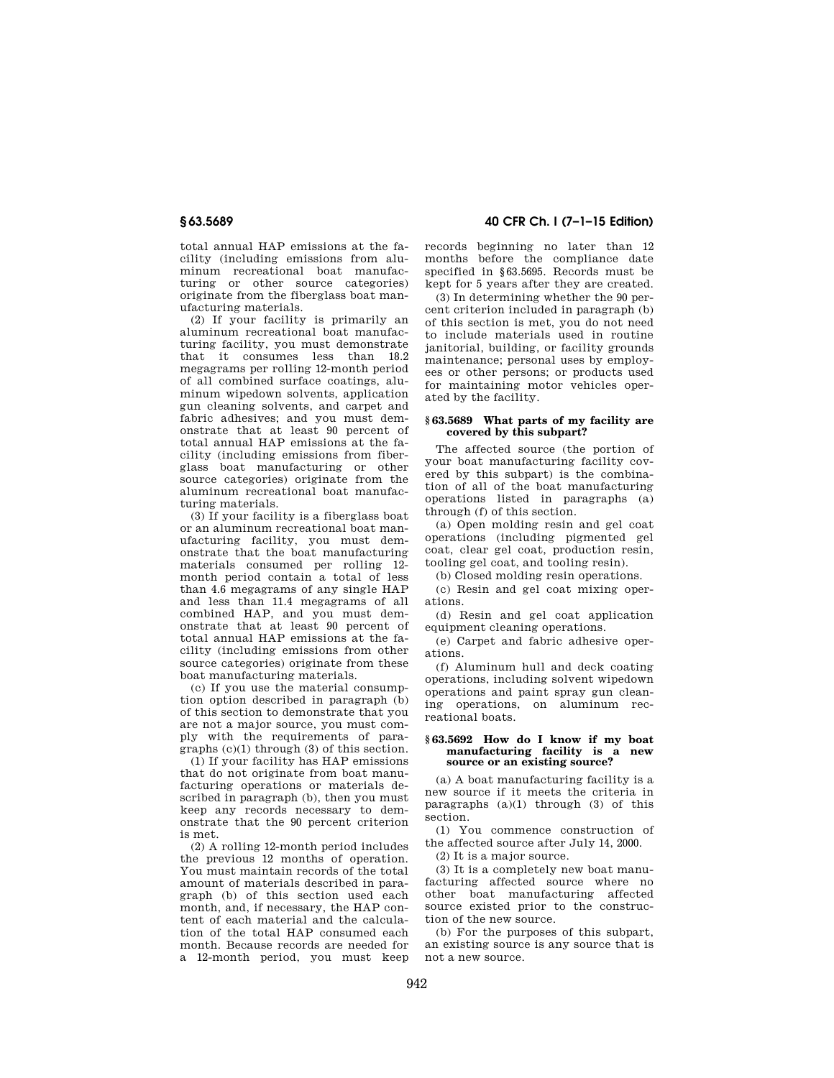total annual HAP emissions at the facility (including emissions from aluminum recreational boat manufacturing or other source categories) originate from the fiberglass boat manufacturing materials.

(2) If your facility is primarily an aluminum recreational boat manufacturing facility, you must demonstrate that it consumes less than 18.2 megagrams per rolling 12-month period of all combined surface coatings, aluminum wipedown solvents, application gun cleaning solvents, and carpet and fabric adhesives; and you must demonstrate that at least 90 percent of total annual HAP emissions at the facility (including emissions from fiberglass boat manufacturing or other source categories) originate from the aluminum recreational boat manufacturing materials.

(3) If your facility is a fiberglass boat or an aluminum recreational boat manufacturing facility, you must demonstrate that the boat manufacturing materials consumed per rolling 12 month period contain a total of less than 4.6 megagrams of any single HAP and less than 11.4 megagrams of all combined HAP, and you must demonstrate that at least 90 percent of total annual HAP emissions at the facility (including emissions from other source categories) originate from these boat manufacturing materials.

(c) If you use the material consumption option described in paragraph (b) of this section to demonstrate that you are not a major source, you must comply with the requirements of paragraphs (c)(1) through (3) of this section.

(1) If your facility has HAP emissions that do not originate from boat manufacturing operations or materials described in paragraph (b), then you must keep any records necessary to demonstrate that the 90 percent criterion is met.

(2) A rolling 12-month period includes the previous 12 months of operation. You must maintain records of the total amount of materials described in paragraph (b) of this section used each month, and, if necessary, the HAP content of each material and the calculation of the total HAP consumed each month. Because records are needed for a 12-month period, you must keep

# **§ 63.5689 40 CFR Ch. I (7–1–15 Edition)**

records beginning no later than 12 months before the compliance date specified in §63.5695. Records must be kept for 5 years after they are created.

(3) In determining whether the 90 percent criterion included in paragraph (b) of this section is met, you do not need to include materials used in routine janitorial, building, or facility grounds maintenance; personal uses by employees or other persons; or products used for maintaining motor vehicles operated by the facility.

#### **§ 63.5689 What parts of my facility are covered by this subpart?**

The affected source (the portion of your boat manufacturing facility covered by this subpart) is the combination of all of the boat manufacturing operations listed in paragraphs (a) through (f) of this section.

(a) Open molding resin and gel coat operations (including pigmented gel coat, clear gel coat, production resin, tooling gel coat, and tooling resin).

(b) Closed molding resin operations.

(c) Resin and gel coat mixing operations.

(d) Resin and gel coat application equipment cleaning operations.

(e) Carpet and fabric adhesive operations.

(f) Aluminum hull and deck coating operations, including solvent wipedown operations and paint spray gun cleaning operations, on aluminum recreational boats.

#### **§ 63.5692 How do I know if my boat manufacturing facility is a new source or an existing source?**

(a) A boat manufacturing facility is a new source if it meets the criteria in paragraphs  $(a)(1)$  through  $(3)$  of this section.

(1) You commence construction of the affected source after July 14, 2000.

(2) It is a major source.

(3) It is a completely new boat manufacturing affected source where no other boat manufacturing affected source existed prior to the construction of the new source.

(b) For the purposes of this subpart, an existing source is any source that is not a new source.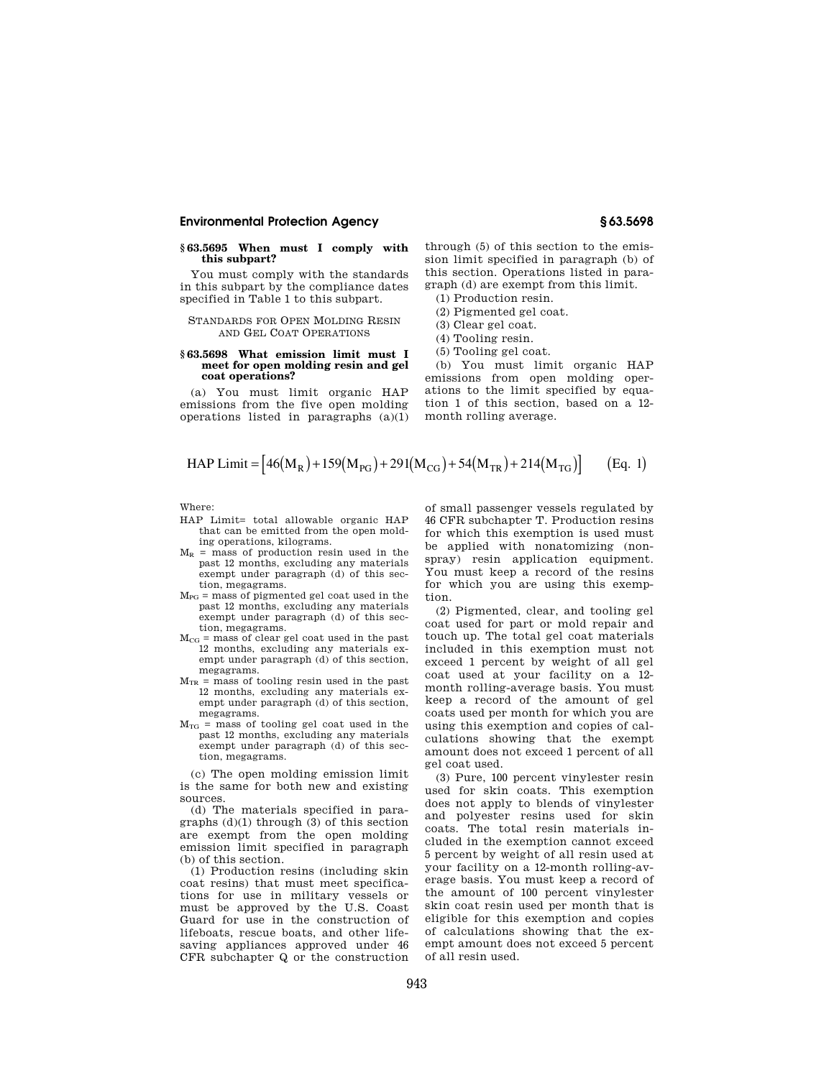### **§ 63.5695 When must I comply with this subpart?**

You must comply with the standards in this subpart by the compliance dates specified in Table 1 to this subpart.

## STANDARDS FOR OPEN MOLDING RESIN AND GEL COAT OPERATIONS

#### **§ 63.5698 What emission limit must I meet for open molding resin and gel coat operations?**

(a) You must limit organic HAP emissions from the five open molding operations listed in paragraphs  $(a)(1)$  through (5) of this section to the emission limit specified in paragraph (b) of this section. Operations listed in paragraph (d) are exempt from this limit.

(1) Production resin.

(2) Pigmented gel coat. (3) Clear gel coat.

- (4) Tooling resin.
- (5) Tooling gel coat.

(b) You must limit organic HAP emissions from open molding operations to the limit specified by equation 1 of this section, based on a 12 month rolling average.

HAP Limit = 
$$
[46(M_R) + 159(M_{PG}) + 291(M_{CG}) + 54(M_{TR}) + 214(M_{TG})]
$$
 (Eq. 1)

Where:

- HAP Limit= total allowable organic HAP that can be emitted from the open molding operations, kilograms.
- $M_R$  = mass of production resin used in the past 12 months, excluding any materials exempt under paragraph (d) of this section, megagrams.
- $M_{PG}$  = mass of pigmented gel coat used in the past 12 months, excluding any materials exempt under paragraph (d) of this section, megagrams.
- $M_{CG}$  = mass of clear gel coat used in the past 12 months, excluding any materials exempt under paragraph (d) of this section, megagrams.
- $\text{M}_\text{TR}$  = mass of tooling resin used in the past 12 months, excluding any materials exempt under paragraph (d) of this section, megagrams.
- $\rm M_{TG}$  = mass of tooling gel coat used in the past 12 months, excluding any materials exempt under paragraph (d) of this section, megagrams.

(c) The open molding emission limit is the same for both new and existing sources.

(d) The materials specified in paragraphs (d)(1) through (3) of this section are exempt from the open molding emission limit specified in paragraph (b) of this section.

(1) Production resins (including skin coat resins) that must meet specifications for use in military vessels or must be approved by the U.S. Coast Guard for use in the construction of lifeboats, rescue boats, and other lifesaving appliances approved under 46 CFR subchapter Q or the construction

of small passenger vessels regulated by 46 CFR subchapter T. Production resins for which this exemption is used must be applied with nonatomizing (nonspray) resin application equipment. You must keep a record of the resins for which you are using this exemption.

(2) Pigmented, clear, and tooling gel coat used for part or mold repair and touch up. The total gel coat materials included in this exemption must not exceed 1 percent by weight of all gel coat used at your facility on a 12 month rolling-average basis. You must keep a record of the amount of gel coats used per month for which you are using this exemption and copies of calculations showing that the exempt amount does not exceed 1 percent of all gel coat used.

(3) Pure, 100 percent vinylester resin used for skin coats. This exemption does not apply to blends of vinylester and polyester resins used for skin coats. The total resin materials included in the exemption cannot exceed 5 percent by weight of all resin used at your facility on a 12-month rolling-average basis. You must keep a record of the amount of 100 percent vinylester skin coat resin used per month that is eligible for this exemption and copies of calculations showing that the exempt amount does not exceed 5 percent of all resin used.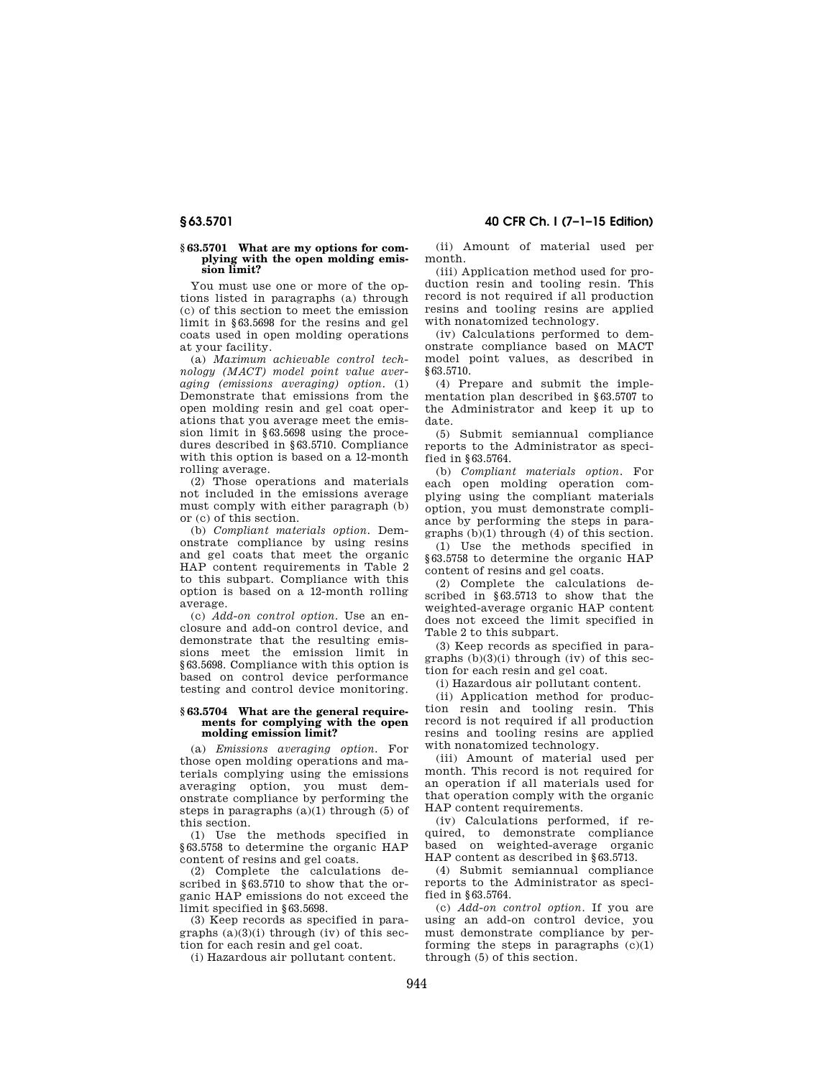#### **§ 63.5701 What are my options for complying with the open molding emission limit?**

You must use one or more of the options listed in paragraphs (a) through (c) of this section to meet the emission limit in §63.5698 for the resins and gel coats used in open molding operations at your facility.

(a) *Maximum achievable control technology (MACT) model point value averaging (emissions averaging) option.* (1) Demonstrate that emissions from the open molding resin and gel coat operations that you average meet the emission limit in §63.5698 using the procedures described in §63.5710. Compliance with this option is based on a 12-month rolling average.

(2) Those operations and materials not included in the emissions average must comply with either paragraph (b) or (c) of this section.

(b) *Compliant materials option.* Demonstrate compliance by using resins and gel coats that meet the organic HAP content requirements in Table 2 to this subpart. Compliance with this option is based on a 12-month rolling average.

(c) *Add-on control option.* Use an enclosure and add-on control device, and demonstrate that the resulting emissions meet the emission limit in §63.5698. Compliance with this option is based on control device performance testing and control device monitoring.

#### **§ 63.5704 What are the general requirements for complying with the open molding emission limit?**

(a) *Emissions averaging option.* For those open molding operations and materials complying using the emissions averaging option, you must demonstrate compliance by performing the steps in paragraphs  $(a)(1)$  through  $(5)$  of this section.

(1) Use the methods specified in §63.5758 to determine the organic HAP content of resins and gel coats.

(2) Complete the calculations described in §63.5710 to show that the organic HAP emissions do not exceed the limit specified in §63.5698.

(3) Keep records as specified in paragraphs  $(a)(3)(i)$  through  $(iv)$  of this section for each resin and gel coat.

(i) Hazardous air pollutant content.

(ii) Amount of material used per month.

(iii) Application method used for production resin and tooling resin. This record is not required if all production resins and tooling resins are applied with nonatomized technology.

(iv) Calculations performed to demonstrate compliance based on MACT model point values, as described in §63.5710.

(4) Prepare and submit the implementation plan described in §63.5707 to the Administrator and keep it up to date.

(5) Submit semiannual compliance reports to the Administrator as specified in §63.5764.

(b) *Compliant materials option.* For each open molding operation complying using the compliant materials option, you must demonstrate compliance by performing the steps in paragraphs (b)(1) through (4) of this section.

(1) Use the methods specified in §63.5758 to determine the organic HAP content of resins and gel coats.

(2) Complete the calculations described in §63.5713 to show that the weighted-average organic HAP content does not exceed the limit specified in Table 2 to this subpart.

(3) Keep records as specified in paragraphs  $(b)(3)(i)$  through  $(iv)$  of this section for each resin and gel coat.

(i) Hazardous air pollutant content.

(ii) Application method for production resin and tooling resin. This record is not required if all production resins and tooling resins are applied with nonatomized technology.

(iii) Amount of material used per month. This record is not required for an operation if all materials used for that operation comply with the organic HAP content requirements.

(iv) Calculations performed, if required, to demonstrate compliance based on weighted-average organic HAP content as described in §63.5713.

(4) Submit semiannual compliance reports to the Administrator as specified in §63.5764.

(c) *Add-on control option.* If you are using an add-on control device, you must demonstrate compliance by performing the steps in paragraphs  $(c)(1)$ through (5) of this section.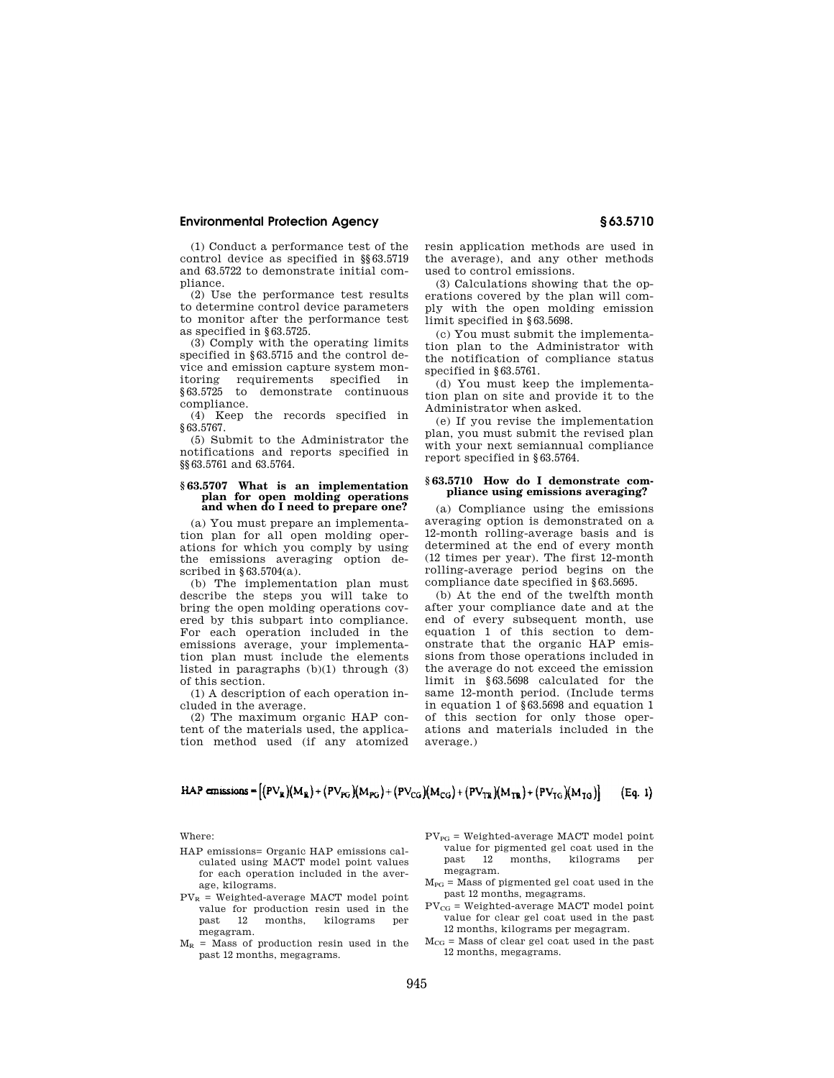(1) Conduct a performance test of the control device as specified in §§63.5719 and 63.5722 to demonstrate initial compliance.

(2) Use the performance test results to determine control device parameters to monitor after the performance test as specified in §63.5725.

(3) Comply with the operating limits specified in §63.5715 and the control device and emission capture system monitoring requirements specified in<br>§63.5725 to demonstrate continuous §63.5725 to demonstrate continuous compliance.

(4) Keep the records specified in §63.5767.

(5) Submit to the Administrator the notifications and reports specified in §§63.5761 and 63.5764.

### **§ 63.5707 What is an implementation plan for open molding operations and when do I need to prepare one?**

(a) You must prepare an implementation plan for all open molding operations for which you comply by using the emissions averaging option described in  $§63.5704(a)$ .

(b) The implementation plan must describe the steps you will take to bring the open molding operations covered by this subpart into compliance. For each operation included in the emissions average, your implementation plan must include the elements listed in paragraphs (b)(1) through (3) of this section.

(1) A description of each operation included in the average.

(2) The maximum organic HAP content of the materials used, the application method used (if any atomized resin application methods are used in the average), and any other methods used to control emissions.

(3) Calculations showing that the operations covered by the plan will comply with the open molding emission limit specified in §63.5698.

(c) You must submit the implementation plan to the Administrator with the notification of compliance status specified in §63.5761.

(d) You must keep the implementation plan on site and provide it to the Administrator when asked.

(e) If you revise the implementation plan, you must submit the revised plan with your next semiannual compliance report specified in §63.5764.

### **§ 63.5710 How do I demonstrate compliance using emissions averaging?**

(a) Compliance using the emissions averaging option is demonstrated on a 12-month rolling-average basis and is determined at the end of every month (12 times per year). The first 12-month rolling-average period begins on the compliance date specified in §63.5695.

(b) At the end of the twelfth month after your compliance date and at the end of every subsequent month, use equation 1 of this section to demonstrate that the organic HAP emissions from those operations included in the average do not exceed the emission limit in §63.5698 calculated for the same 12-month period. (Include terms in equation 1 of §63.5698 and equation 1 of this section for only those operations and materials included in the average.)

#### HAP emissions =  $[(PV_R)(M_R) + (PV_{PG})(M_{PG}) + (PV_{CG})(M_{CG}) + (PV_{TR})(M_{TR}) + (PV_{TG})(M_{TG})]$  $(Eq. 1)$

Where:

- HAP emissions= Organic HAP emissions calculated using MACT model point values for each operation included in the average, kilograms.
- $PV_R$  = Weighted-average MACT model point value for production resin used in the<br>past 12 months, kilograms per kilograms per megagram.
- $M_R$  = Mass of production resin used in the past 12 months, megagrams.
- $PV_{PG}$  = Weighted-average MACT model point value for pigmented gel coat used in the<br>past 12 months, kilograms per months, kilograms per megagram.
- $M_{PG}$  = Mass of pigmented gel coat used in the past 12 months, megagrams.
- $PV_{CG}$  = Weighted-average MACT model point value for clear gel coat used in the past 12 months, kilograms per megagram.
- $M_{CG}$  = Mass of clear gel coat used in the past 12 months, megagrams.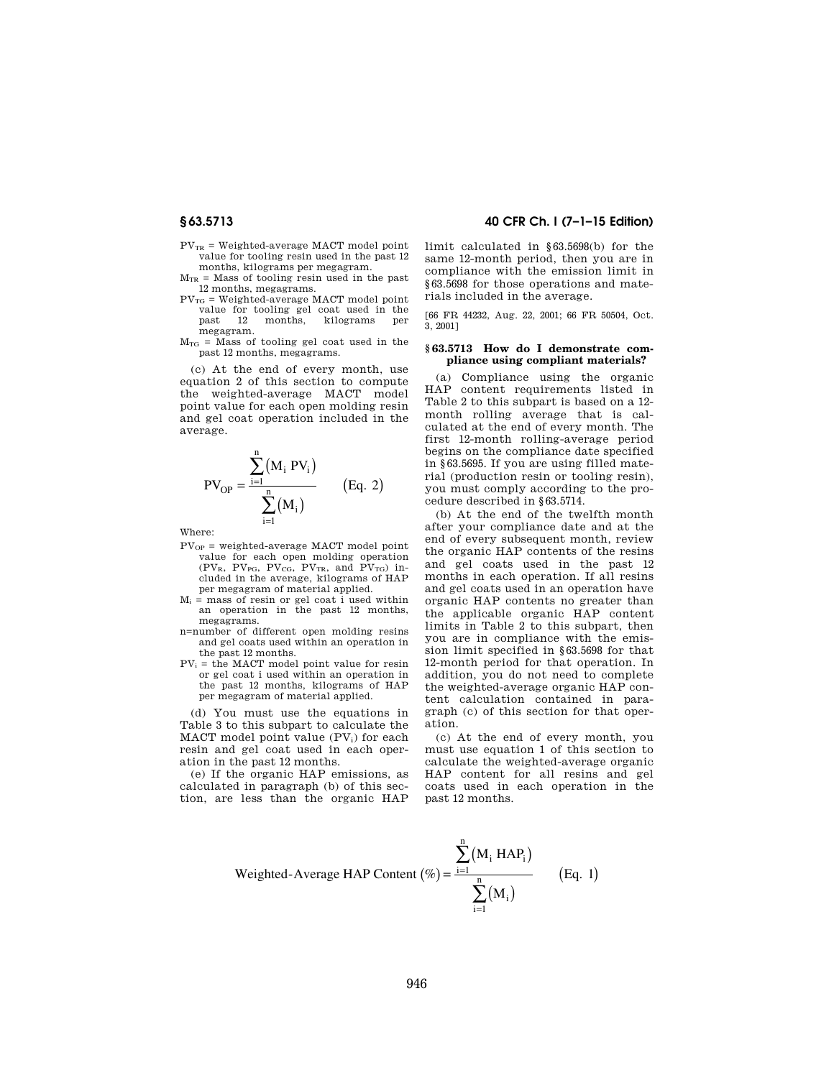- $\mathrm{PV}_{\mathrm{TR}}$  = Weighted-average MACT model point value for tooling resin used in the past 12 months, kilograms per megagram.
- $M_{TR}$  = Mass of tooling resin used in the past 12 months, megagrams.
- $PV_{TG}$  = Weighted-average MACT model point value for tooling gel coat used in the<br>past 12 months, kilograms per kilograms per megagram.
- $M_{TG}$  = Mass of tooling gel coat used in the past 12 months, megagrams.

(c) At the end of every month, use equation 2 of this section to compute the weighted-average MACT model point value for each open molding resin and gel coat operation included in the average.

$$
PV_{OP} = \frac{\sum_{i=1}^{n} (M_i PV_i)}{\sum_{i=1}^{n} (M_i)}
$$
 (Eq. 2)

Where:

- $PV_{OP}$  = weighted-average MACT model point value for each open molding operation  $(PV_R, PV_{PG}, PV_{CG}, PV_{TR}, and PV_{TG})$  included in the average, kilograms of HAP per megagram of material applied.
- $M_i$  = mass of resin or gel coat i used within an operation in the past 12 months, megagrams.
- n=number of different open molding resins and gel coats used within an operation in the past 12 months.
- $PV_i$  = the MACT model point value for resin or gel coat i used within an operation in the past 12 months, kilograms of HAP per megagram of material applied.

(d) You must use the equations in Table 3 to this subpart to calculate the MACT model point value (PV<sub>i</sub>) for each resin and gel coat used in each operation in the past 12 months.

(e) If the organic HAP emissions, as calculated in paragraph (b) of this section, are less than the organic HAP

## **§ 63.5713 40 CFR Ch. I (7–1–15 Edition)**

limit calculated in §63.5698(b) for the same 12-month period, then you are in compliance with the emission limit in §63.5698 for those operations and materials included in the average.

[66 FR 44232, Aug. 22, 2001; 66 FR 50504, Oct. 3, 2001]

#### **§ 63.5713 How do I demonstrate compliance using compliant materials?**

(a) Compliance using the organic HAP content requirements listed in Table 2 to this subpart is based on a 12 month rolling average that is calculated at the end of every month. The first 12-month rolling-average period begins on the compliance date specified in §63.5695. If you are using filled material (production resin or tooling resin), you must comply according to the procedure described in §63.5714.

(b) At the end of the twelfth month after your compliance date and at the end of every subsequent month, review the organic HAP contents of the resins and gel coats used in the past 12 months in each operation. If all resins and gel coats used in an operation have organic HAP contents no greater than the applicable organic HAP content limits in Table 2 to this subpart, then you are in compliance with the emission limit specified in §63.5698 for that 12-month period for that operation. In addition, you do not need to complete the weighted-average organic HAP content calculation contained in paragraph (c) of this section for that operation.

(c) At the end of every month, you must use equation 1 of this section to calculate the weighted-average organic HAP content for all resins and gel coats used in each operation in the past 12 months.

Weighted-Average HAP Content (
$$
\%
$$
) =  $\frac{\sum_{i=1}^{N} (M_i HAP_i)}{\sum_{i=1}^{n} (M_i)}$  (Eq. 1)

n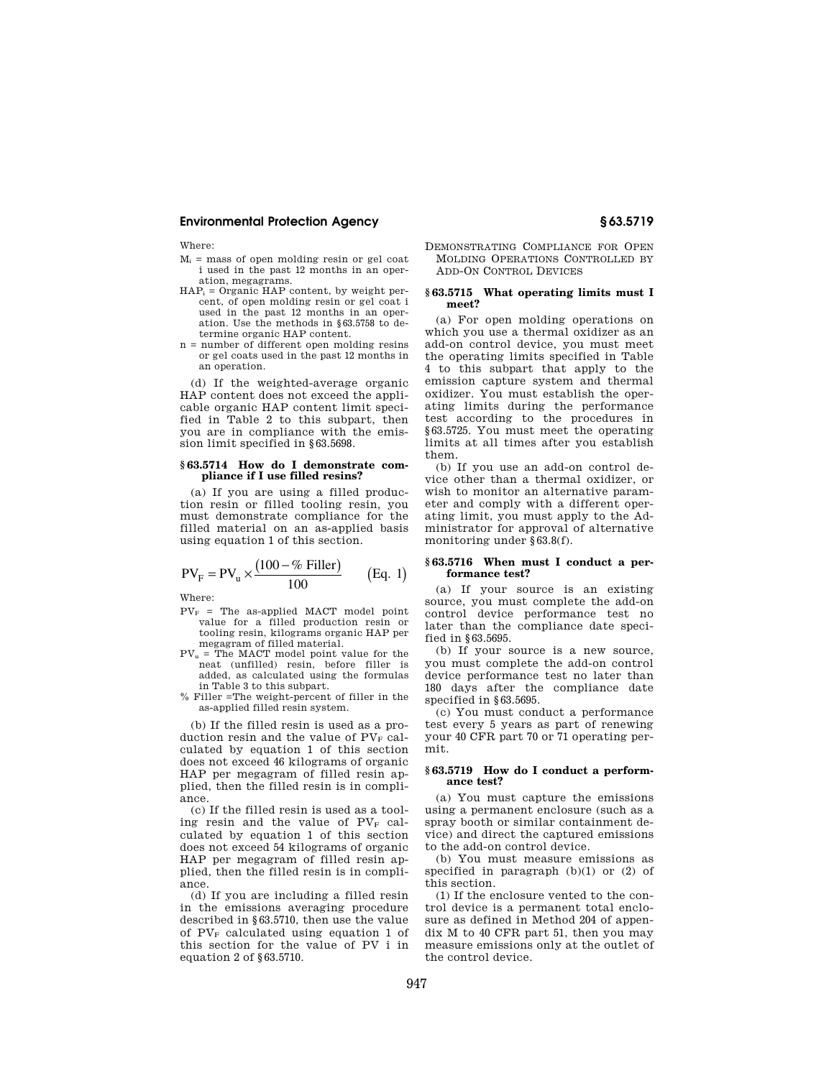Where:

- $M_i$  = mass of open molding resin or gel coat i used in the past 12 months in an operation, megagrams.
- $HAP_i =$  Organic  $HAP$  content, by weight percent, of open molding resin or gel coat i used in the past 12 months in an operation. Use the methods in §63.5758 to determine organic HAP content.
- n = number of different open molding resins or gel coats used in the past 12 months in an operation.

(d) If the weighted-average organic HAP content does not exceed the applicable organic HAP content limit specified in Table 2 to this subpart, then you are in compliance with the emission limit specified in §63.5698.

#### **§ 63.5714 How do I demonstrate compliance if I use filled resins?**

(a) If you are using a filled production resin or filled tooling resin, you must demonstrate compliance for the filled material on an as-applied basis using equation 1 of this section.

$$
PV_{F} = PV_{u} \times \frac{(100 - % Filler)}{100}
$$
 (Eq. 1)

Where:

- $PV_F$  = The as-applied MACT model point value for a filled production resin or tooling resin, kilograms organic HAP per megagram of filled material.
- $PV<sub>u</sub>$  = The MACT model point value for the neat (unfilled) resin, before filler is added, as calculated using the formulas in Table 3 to this subpart.
- % Filler =The weight-percent of filler in the as-applied filled resin system.

(b) If the filled resin is used as a production resin and the value of  $PV<sub>F</sub>$  calculated by equation 1 of this section does not exceed 46 kilograms of organic HAP per megagram of filled resin applied, then the filled resin is in compliance.

(c) If the filled resin is used as a tooling resin and the value of  $PV_F$  calculated by equation 1 of this section does not exceed 54 kilograms of organic HAP per megagram of filled resin applied, then the filled resin is in compliance.

(d) If you are including a filled resin in the emissions averaging procedure described in §63.5710, then use the value of  $PV_F$  calculated using equation 1 of this section for the value of PV i in equation 2 of §63.5710.

DEMONSTRATING COMPLIANCE FOR OPEN MOLDING OPERATIONS CONTROLLED BY ADD-ON CONTROL DEVICES

#### **§ 63.5715 What operating limits must I meet?**

(a) For open molding operations on which you use a thermal oxidizer as an add-on control device, you must meet the operating limits specified in Table 4 to this subpart that apply to the emission capture system and thermal oxidizer. You must establish the operating limits during the performance test according to the procedures in §63.5725. You must meet the operating limits at all times after you establish them.

(b) If you use an add-on control device other than a thermal oxidizer, or wish to monitor an alternative parameter and comply with a different operating limit, you must apply to the Administrator for approval of alternative monitoring under §63.8(f).

#### **§ 63.5716 When must I conduct a performance test?**

(a) If your source is an existing source, you must complete the add-on control device performance test no later than the compliance date specified in §63.5695.

(b) If your source is a new source, you must complete the add-on control device performance test no later than 180 days after the compliance date specified in §63.5695.

(c) You must conduct a performance test every 5 years as part of renewing your 40 CFR part 70 or 71 operating permit.

#### **§ 63.5719 How do I conduct a performance test?**

(a) You must capture the emissions using a permanent enclosure (such as a spray booth or similar containment device) and direct the captured emissions to the add-on control device.

(b) You must measure emissions as specified in paragraph (b)(1) or (2) of this section.

(1) If the enclosure vented to the control device is a permanent total enclosure as defined in Method 204 of appendix M to 40 CFR part 51, then you may measure emissions only at the outlet of the control device.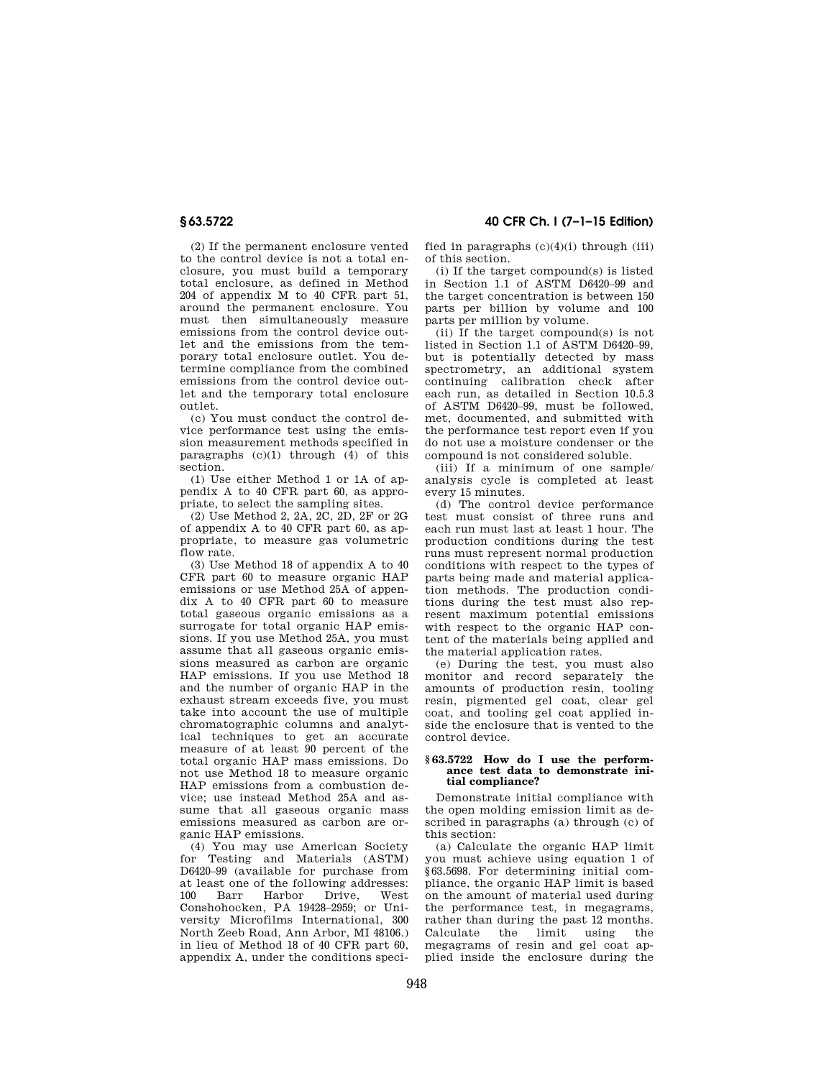(2) If the permanent enclosure vented to the control device is not a total enclosure, you must build a temporary total enclosure, as defined in Method 204 of appendix M to 40 CFR part 51, around the permanent enclosure. You must then simultaneously measure emissions from the control device outlet and the emissions from the temporary total enclosure outlet. You determine compliance from the combined emissions from the control device outlet and the temporary total enclosure outlet.

(c) You must conduct the control device performance test using the emission measurement methods specified in paragraphs  $(c)(1)$  through  $(4)$  of this section.

(1) Use either Method 1 or 1A of appendix A to 40 CFR part 60, as appropriate, to select the sampling sites.

(2) Use Method 2, 2A, 2C, 2D, 2F or 2G of appendix A to 40 CFR part 60, as appropriate, to measure gas volumetric flow rate.

(3) Use Method 18 of appendix A to 40 CFR part 60 to measure organic HAP emissions or use Method 25A of appendix A to 40 CFR part 60 to measure total gaseous organic emissions as a surrogate for total organic HAP emissions. If you use Method 25A, you must assume that all gaseous organic emissions measured as carbon are organic HAP emissions. If you use Method 18 and the number of organic HAP in the exhaust stream exceeds five, you must take into account the use of multiple chromatographic columns and analytical techniques to get an accurate measure of at least 90 percent of the total organic HAP mass emissions. Do not use Method 18 to measure organic HAP emissions from a combustion device; use instead Method 25A and assume that all gaseous organic mass emissions measured as carbon are organic HAP emissions.

(4) You may use American Society for Testing and Materials (ASTM) D6420–99 (available for purchase from at least one of the following addresses:<br>100 Barr Harbor Drive. West Harbor <sub>-</sub> Conshohocken, PA 19428–2959; or University Microfilms International, 300 North Zeeb Road, Ann Arbor, MI 48106.) in lieu of Method 18 of 40 CFR part 60, appendix A, under the conditions speci-

**§ 63.5722 40 CFR Ch. I (7–1–15 Edition)** 

fied in paragraphs  $(c)(4)(i)$  through  $(iii)$ of this section.

(i) If the target compound(s) is listed in Section 1.1 of ASTM D6420–99 and the target concentration is between 150 parts per billion by volume and 100 parts per million by volume.

(ii) If the target compound(s) is not listed in Section 1.1 of ASTM D6420–99, but is potentially detected by mass spectrometry, an additional system continuing calibration check after each run, as detailed in Section 10.5.3 of ASTM D6420–99, must be followed, met, documented, and submitted with the performance test report even if you do not use a moisture condenser or the compound is not considered soluble.

(iii) If a minimum of one sample/ analysis cycle is completed at least every 15 minutes.

(d) The control device performance test must consist of three runs and each run must last at least 1 hour. The production conditions during the test runs must represent normal production conditions with respect to the types of parts being made and material application methods. The production conditions during the test must also represent maximum potential emissions with respect to the organic HAP content of the materials being applied and the material application rates.

(e) During the test, you must also monitor and record separately the amounts of production resin, tooling resin, pigmented gel coat, clear gel coat, and tooling gel coat applied inside the enclosure that is vented to the control device.

### **§ 63.5722 How do I use the performance test data to demonstrate initial compliance?**

Demonstrate initial compliance with the open molding emission limit as described in paragraphs (a) through (c) of this section:

(a) Calculate the organic HAP limit you must achieve using equation 1 of §63.5698. For determining initial compliance, the organic HAP limit is based on the amount of material used during the performance test, in megagrams, rather than during the past 12 months. Calculate the limit using the megagrams of resin and gel coat applied inside the enclosure during the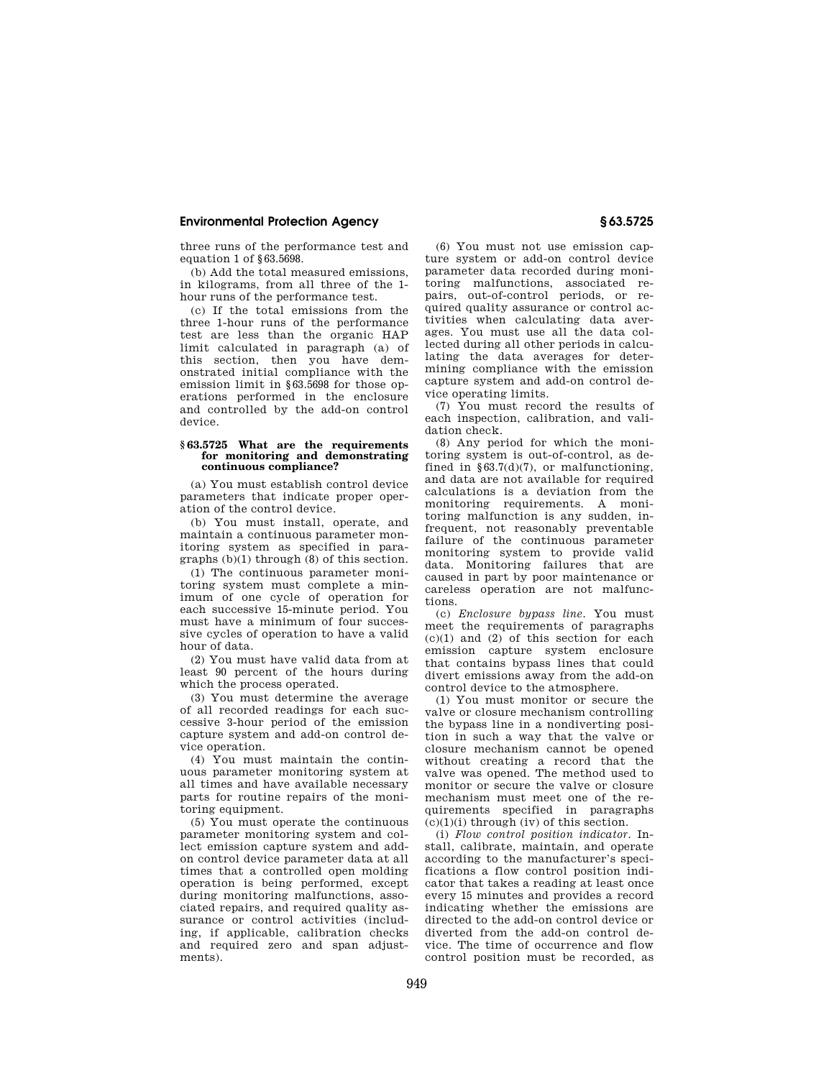three runs of the performance test and equation 1 of §63.5698.

(b) Add the total measured emissions, in kilograms, from all three of the 1 hour runs of the performance test.

(c) If the total emissions from the three 1-hour runs of the performance test are less than the organic HAP limit calculated in paragraph (a) of this section, then you have demonstrated initial compliance with the emission limit in §63.5698 for those operations performed in the enclosure and controlled by the add-on control device.

## **§ 63.5725 What are the requirements for monitoring and demonstrating continuous compliance?**

(a) You must establish control device parameters that indicate proper operation of the control device.

(b) You must install, operate, and maintain a continuous parameter monitoring system as specified in paragraphs (b)(1) through (8) of this section.

(1) The continuous parameter monitoring system must complete a minimum of one cycle of operation for each successive 15-minute period. You must have a minimum of four successive cycles of operation to have a valid hour of data.

(2) You must have valid data from at least 90 percent of the hours during which the process operated.

(3) You must determine the average of all recorded readings for each successive 3-hour period of the emission capture system and add-on control device operation.

(4) You must maintain the continuous parameter monitoring system at all times and have available necessary parts for routine repairs of the monitoring equipment.

(5) You must operate the continuous parameter monitoring system and collect emission capture system and addon control device parameter data at all times that a controlled open molding operation is being performed, except during monitoring malfunctions, associated repairs, and required quality assurance or control activities (including, if applicable, calibration checks and required zero and span adjustments).

(6) You must not use emission capture system or add-on control device parameter data recorded during monitoring malfunctions, associated repairs, out-of-control periods, or required quality assurance or control activities when calculating data averages. You must use all the data collected during all other periods in calculating the data averages for determining compliance with the emission capture system and add-on control device operating limits.

(7) You must record the results of each inspection, calibration, and validation check.

(8) Any period for which the monitoring system is out-of-control, as defined in  $\S 63.7(d)(7)$ , or malfunctioning, and data are not available for required calculations is a deviation from the monitoring requirements. A monitoring malfunction is any sudden, infrequent, not reasonably preventable failure of the continuous parameter monitoring system to provide valid data. Monitoring failures that are caused in part by poor maintenance or careless operation are not malfunctions.

(c) *Enclosure bypass line.* You must meet the requirements of paragraphs  $(c)(1)$  and  $(2)$  of this section for each emission capture system enclosure that contains bypass lines that could divert emissions away from the add-on control device to the atmosphere.

(1) You must monitor or secure the valve or closure mechanism controlling the bypass line in a nondiverting position in such a way that the valve or closure mechanism cannot be opened without creating a record that the valve was opened. The method used to monitor or secure the valve or closure mechanism must meet one of the requirements specified in paragraphs  $(c)(1)(i)$  through  $(iv)$  of this section.

(i) *Flow control position indicator.* Install, calibrate, maintain, and operate according to the manufacturer's specifications a flow control position indicator that takes a reading at least once every 15 minutes and provides a record indicating whether the emissions are directed to the add-on control device or diverted from the add-on control device. The time of occurrence and flow control position must be recorded, as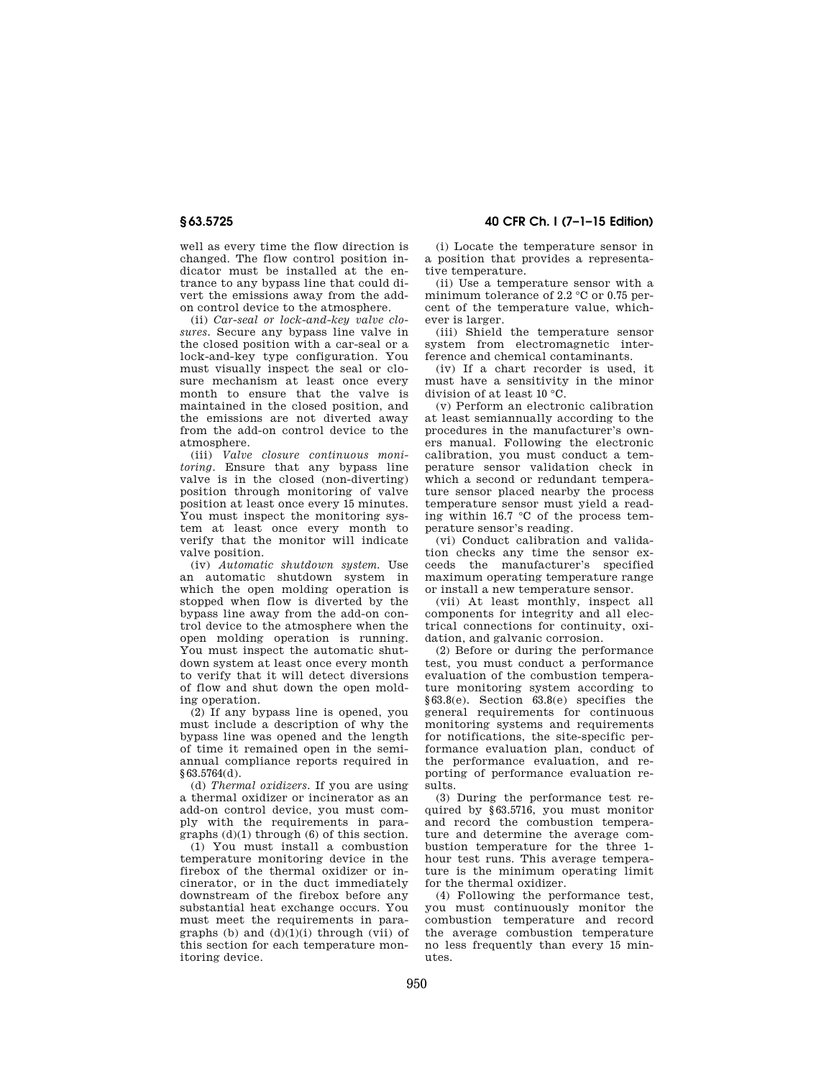well as every time the flow direction is changed. The flow control position indicator must be installed at the entrance to any bypass line that could divert the emissions away from the addon control device to the atmosphere.

(ii) *Car-seal or lock-and-key valve closures.* Secure any bypass line valve in the closed position with a car-seal or a lock-and-key type configuration. You must visually inspect the seal or closure mechanism at least once every month to ensure that the valve is maintained in the closed position, and the emissions are not diverted away from the add-on control device to the atmosphere.

(iii) *Valve closure continuous monitoring.* Ensure that any bypass line valve is in the closed (non-diverting) position through monitoring of valve position at least once every 15 minutes. You must inspect the monitoring system at least once every month to verify that the monitor will indicate valve position.

(iv) *Automatic shutdown system.* Use an automatic shutdown system in which the open molding operation is stopped when flow is diverted by the bypass line away from the add-on control device to the atmosphere when the open molding operation is running. You must inspect the automatic shutdown system at least once every month to verify that it will detect diversions of flow and shut down the open molding operation.

(2) If any bypass line is opened, you must include a description of why the bypass line was opened and the length of time it remained open in the semiannual compliance reports required in §63.5764(d).

(d) *Thermal oxidizers.* If you are using a thermal oxidizer or incinerator as an add-on control device, you must comply with the requirements in paragraphs (d)(1) through (6) of this section.

(1) You must install a combustion temperature monitoring device in the firebox of the thermal oxidizer or incinerator, or in the duct immediately downstream of the firebox before any substantial heat exchange occurs. You must meet the requirements in paragraphs (b) and  $(d)(1)(i)$  through (vii) of this section for each temperature monitoring device.

**§ 63.5725 40 CFR Ch. I (7–1–15 Edition)** 

(i) Locate the temperature sensor in a position that provides a representative temperature.

(ii) Use a temperature sensor with a minimum tolerance of 2.2 °C or 0.75 percent of the temperature value, whichever is larger.

(iii) Shield the temperature sensor system from electromagnetic interference and chemical contaminants.

(iv) If a chart recorder is used, it must have a sensitivity in the minor division of at least 10 °C.

(v) Perform an electronic calibration at least semiannually according to the procedures in the manufacturer's owners manual. Following the electronic calibration, you must conduct a temperature sensor validation check in which a second or redundant temperature sensor placed nearby the process temperature sensor must yield a reading within 16.7 °C of the process temperature sensor's reading.

(vi) Conduct calibration and validation checks any time the sensor exceeds the manufacturer's specified maximum operating temperature range or install a new temperature sensor.

(vii) At least monthly, inspect all components for integrity and all electrical connections for continuity, oxidation, and galvanic corrosion.

(2) Before or during the performance test, you must conduct a performance evaluation of the combustion temperature monitoring system according to §63.8(e). Section 63.8(e) specifies the general requirements for continuous monitoring systems and requirements for notifications, the site-specific performance evaluation plan, conduct of the performance evaluation, and reporting of performance evaluation results.

(3) During the performance test required by §63.5716, you must monitor and record the combustion temperature and determine the average combustion temperature for the three 1 hour test runs. This average temperature is the minimum operating limit for the thermal oxidizer.

(4) Following the performance test, you must continuously monitor the combustion temperature and record the average combustion temperature no less frequently than every 15 minutes.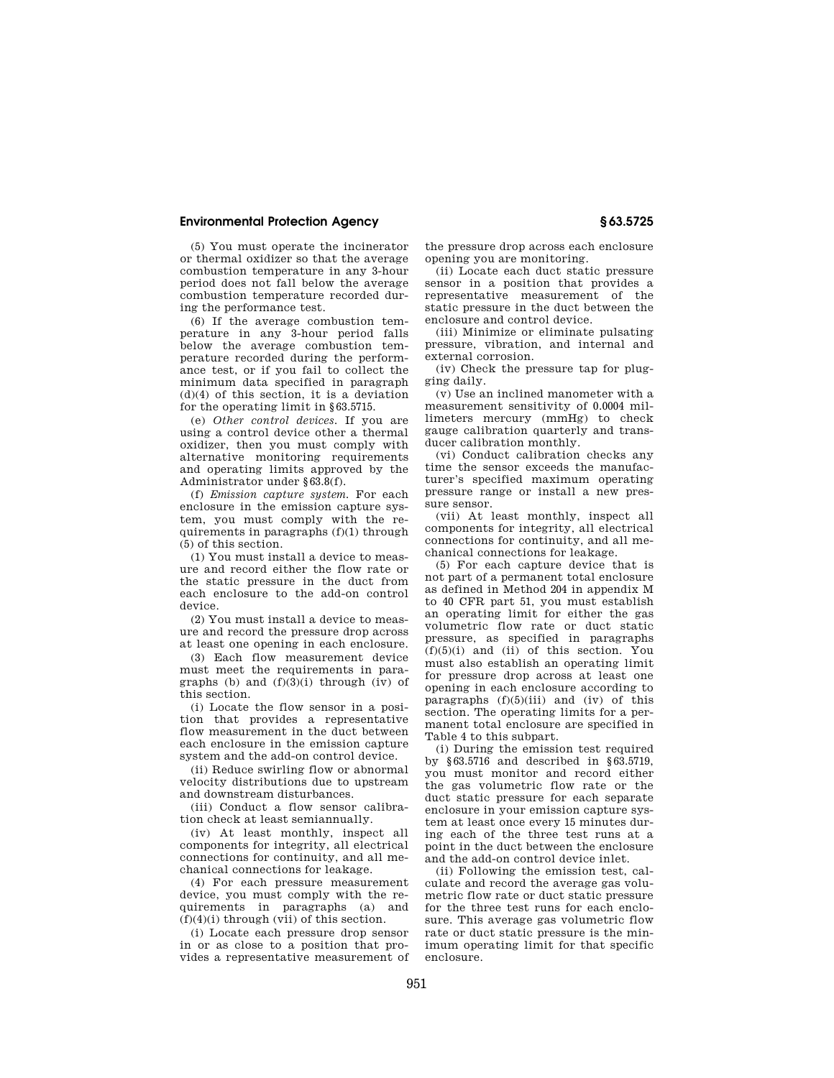(5) You must operate the incinerator or thermal oxidizer so that the average combustion temperature in any 3-hour period does not fall below the average combustion temperature recorded during the performance test.

(6) If the average combustion temperature in any 3-hour period falls below the average combustion temperature recorded during the performance test, or if you fail to collect the minimum data specified in paragraph  $(d)(4)$  of this section, it is a deviation for the operating limit in §63.5715.

(e) *Other control devices.* If you are using a control device other a thermal oxidizer, then you must comply with alternative monitoring requirements and operating limits approved by the Administrator under §63.8(f).

(f) *Emission capture system.* For each enclosure in the emission capture system, you must comply with the requirements in paragraphs (f)(1) through (5) of this section.

(1) You must install a device to measure and record either the flow rate or the static pressure in the duct from each enclosure to the add-on control device.

(2) You must install a device to measure and record the pressure drop across at least one opening in each enclosure.

(3) Each flow measurement device must meet the requirements in paragraphs (b) and (f)(3)(i) through (iv) of this section.

(i) Locate the flow sensor in a position that provides a representative flow measurement in the duct between each enclosure in the emission capture system and the add-on control device.

(ii) Reduce swirling flow or abnormal velocity distributions due to upstream and downstream disturbances.

(iii) Conduct a flow sensor calibration check at least semiannually.

(iv) At least monthly, inspect all components for integrity, all electrical connections for continuity, and all mechanical connections for leakage.

(4) For each pressure measurement device, you must comply with the requirements in paragraphs (a) and  $(f)(4)(i)$  through (vii) of this section.

(i) Locate each pressure drop sensor in or as close to a position that provides a representative measurement of the pressure drop across each enclosure opening you are monitoring.

(ii) Locate each duct static pressure sensor in a position that provides a representative measurement of the static pressure in the duct between the enclosure and control device.

(iii) Minimize or eliminate pulsating pressure, vibration, and internal and external corrosion.

(iv) Check the pressure tap for plugging daily.

(v) Use an inclined manometer with a measurement sensitivity of 0.0004 millimeters mercury (mmHg) to check gauge calibration quarterly and transducer calibration monthly.

(vi) Conduct calibration checks any time the sensor exceeds the manufacturer's specified maximum operating pressure range or install a new pressure sensor.

(vii) At least monthly, inspect all components for integrity, all electrical connections for continuity, and all mechanical connections for leakage.

(5) For each capture device that is not part of a permanent total enclosure as defined in Method 204 in appendix M to 40 CFR part 51, you must establish an operating limit for either the gas volumetric flow rate or duct static pressure, as specified in paragraphs  $(f)(5)(i)$  and  $(ii)$  of this section. You must also establish an operating limit for pressure drop across at least one opening in each enclosure according to paragraphs  $(f)(5)(iii)$  and  $(iv)$  of this section. The operating limits for a permanent total enclosure are specified in Table 4 to this subpart.

(i) During the emission test required by §63.5716 and described in §63.5719, you must monitor and record either the gas volumetric flow rate or the duct static pressure for each separate enclosure in your emission capture system at least once every 15 minutes during each of the three test runs at a point in the duct between the enclosure and the add-on control device inlet.

(ii) Following the emission test, calculate and record the average gas volumetric flow rate or duct static pressure for the three test runs for each enclosure. This average gas volumetric flow rate or duct static pressure is the minimum operating limit for that specific enclosure.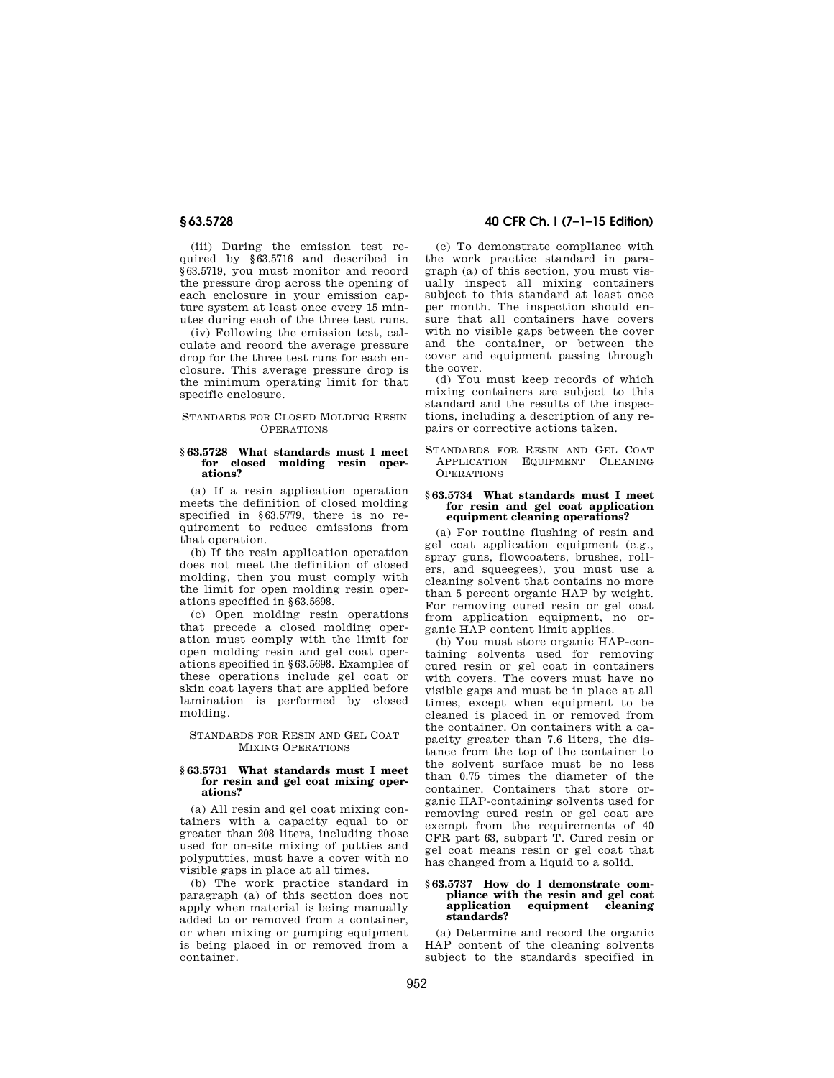(iii) During the emission test required by §63.5716 and described in §63.5719, you must monitor and record the pressure drop across the opening of each enclosure in your emission capture system at least once every 15 minutes during each of the three test runs.

(iv) Following the emission test, calculate and record the average pressure drop for the three test runs for each enclosure. This average pressure drop is the minimum operating limit for that specific enclosure.

#### STANDARDS FOR CLOSED MOLDING RESIN OPERATIONS

### **§ 63.5728 What standards must I meet for closed molding resin operations?**

(a) If a resin application operation meets the definition of closed molding specified in §63.5779, there is no requirement to reduce emissions from that operation.

(b) If the resin application operation does not meet the definition of closed molding, then you must comply with the limit for open molding resin operations specified in §63.5698.

(c) Open molding resin operations that precede a closed molding operation must comply with the limit for open molding resin and gel coat operations specified in §63.5698. Examples of these operations include gel coat or skin coat layers that are applied before lamination is performed by closed molding.

#### STANDARDS FOR RESIN AND GEL COAT MIXING OPERATIONS

### **§ 63.5731 What standards must I meet for resin and gel coat mixing operations?**

(a) All resin and gel coat mixing containers with a capacity equal to or greater than 208 liters, including those used for on-site mixing of putties and polyputties, must have a cover with no visible gaps in place at all times.

(b) The work practice standard in paragraph (a) of this section does not apply when material is being manually added to or removed from a container, or when mixing or pumping equipment is being placed in or removed from a container.

# **§ 63.5728 40 CFR Ch. I (7–1–15 Edition)**

(c) To demonstrate compliance with the work practice standard in paragraph (a) of this section, you must visually inspect all mixing containers subject to this standard at least once per month. The inspection should ensure that all containers have covers with no visible gaps between the cover and the container, or between the cover and equipment passing through the cover.

(d) You must keep records of which mixing containers are subject to this standard and the results of the inspections, including a description of any repairs or corrective actions taken.

STANDARDS FOR RESIN AND GEL COAT APPLICATION EQUIPMENT CLEANING **OPERATIONS** 

#### **§ 63.5734 What standards must I meet for resin and gel coat application equipment cleaning operations?**

(a) For routine flushing of resin and gel coat application equipment (e.g., spray guns, flowcoaters, brushes, rollers, and squeegees), you must use a cleaning solvent that contains no more than 5 percent organic HAP by weight. For removing cured resin or gel coat from application equipment, no organic HAP content limit applies.

(b) You must store organic HAP-containing solvents used for removing cured resin or gel coat in containers with covers. The covers must have no visible gaps and must be in place at all times, except when equipment to be cleaned is placed in or removed from the container. On containers with a capacity greater than 7.6 liters, the distance from the top of the container to the solvent surface must be no less than 0.75 times the diameter of the container. Containers that store organic HAP-containing solvents used for removing cured resin or gel coat are exempt from the requirements of 40 CFR part 63, subpart T. Cured resin or gel coat means resin or gel coat that has changed from a liquid to a solid.

#### **§ 63.5737 How do I demonstrate compliance with the resin and gel coat equipment** cleaning **standards?**

(a) Determine and record the organic HAP content of the cleaning solvents subject to the standards specified in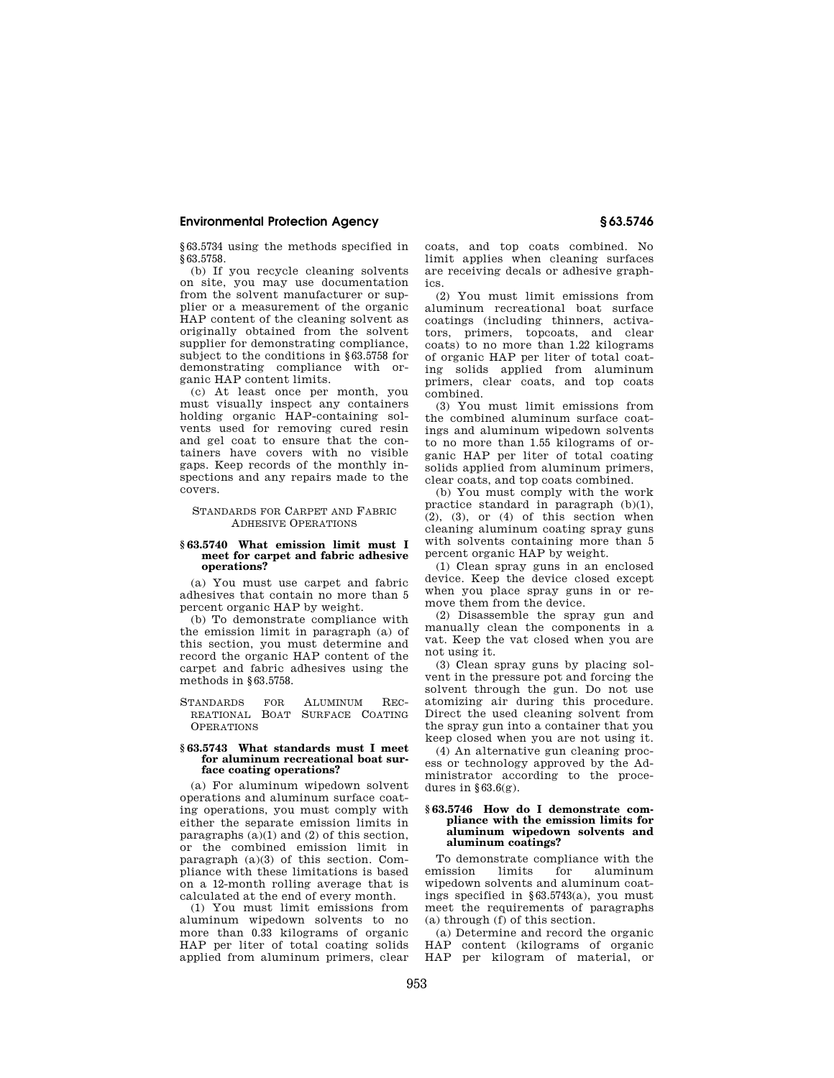§63.5734 using the methods specified in §63.5758.

(b) If you recycle cleaning solvents on site, you may use documentation from the solvent manufacturer or supplier or a measurement of the organic HAP content of the cleaning solvent as originally obtained from the solvent supplier for demonstrating compliance, subject to the conditions in §63.5758 for demonstrating compliance with organic HAP content limits.

(c) At least once per month, you must visually inspect any containers holding organic HAP-containing solvents used for removing cured resin and gel coat to ensure that the containers have covers with no visible gaps. Keep records of the monthly inspections and any repairs made to the covers.

### STANDARDS FOR CARPET AND FABRIC ADHESIVE OPERATIONS

#### **§ 63.5740 What emission limit must I meet for carpet and fabric adhesive operations?**

(a) You must use carpet and fabric adhesives that contain no more than 5 percent organic HAP by weight.

(b) To demonstrate compliance with the emission limit in paragraph (a) of this section, you must determine and record the organic HAP content of the carpet and fabric adhesives using the methods in §63.5758.

STANDARDS FOR ALUMINUM REC-REATIONAL BOAT SURFACE COATING OPERATIONS

#### **§ 63.5743 What standards must I meet for aluminum recreational boat surface coating operations?**

(a) For aluminum wipedown solvent operations and aluminum surface coating operations, you must comply with either the separate emission limits in paragraphs  $(a)(1)$  and  $(2)$  of this section, or the combined emission limit in paragraph (a)(3) of this section. Compliance with these limitations is based on a 12-month rolling average that is calculated at the end of every month.

(1) You must limit emissions from aluminum wipedown solvents to no more than 0.33 kilograms of organic HAP per liter of total coating solids applied from aluminum primers, clear coats, and top coats combined. No limit applies when cleaning surfaces are receiving decals or adhesive graphics.

(2) You must limit emissions from aluminum recreational boat surface coatings (including thinners, activators, primers, topcoats, and clear coats) to no more than 1.22 kilograms of organic HAP per liter of total coating solids applied from aluminum primers, clear coats, and top coats combined.

(3) You must limit emissions from the combined aluminum surface coatings and aluminum wipedown solvents to no more than 1.55 kilograms of organic HAP per liter of total coating solids applied from aluminum primers. clear coats, and top coats combined.

(b) You must comply with the work practice standard in paragraph (b)(1),  $(2)$ ,  $(3)$ , or  $(4)$  of this section when cleaning aluminum coating spray guns with solvents containing more than 5 percent organic HAP by weight.

(1) Clean spray guns in an enclosed device. Keep the device closed except when you place spray guns in or remove them from the device.

(2) Disassemble the spray gun and manually clean the components in a vat. Keep the vat closed when you are not using it.

(3) Clean spray guns by placing solvent in the pressure pot and forcing the solvent through the gun. Do not use atomizing air during this procedure. Direct the used cleaning solvent from the spray gun into a container that you keep closed when you are not using it.

(4) An alternative gun cleaning process or technology approved by the Administrator according to the procedures in  $§63.6(g)$ .

#### **§ 63.5746 How do I demonstrate compliance with the emission limits for aluminum wipedown solvents and aluminum coatings?**

To demonstrate compliance with the emission limits for aluminum wipedown solvents and aluminum coatings specified in §63.5743(a), you must meet the requirements of paragraphs (a) through (f) of this section.

(a) Determine and record the organic HAP content (kilograms of organic HAP per kilogram of material, or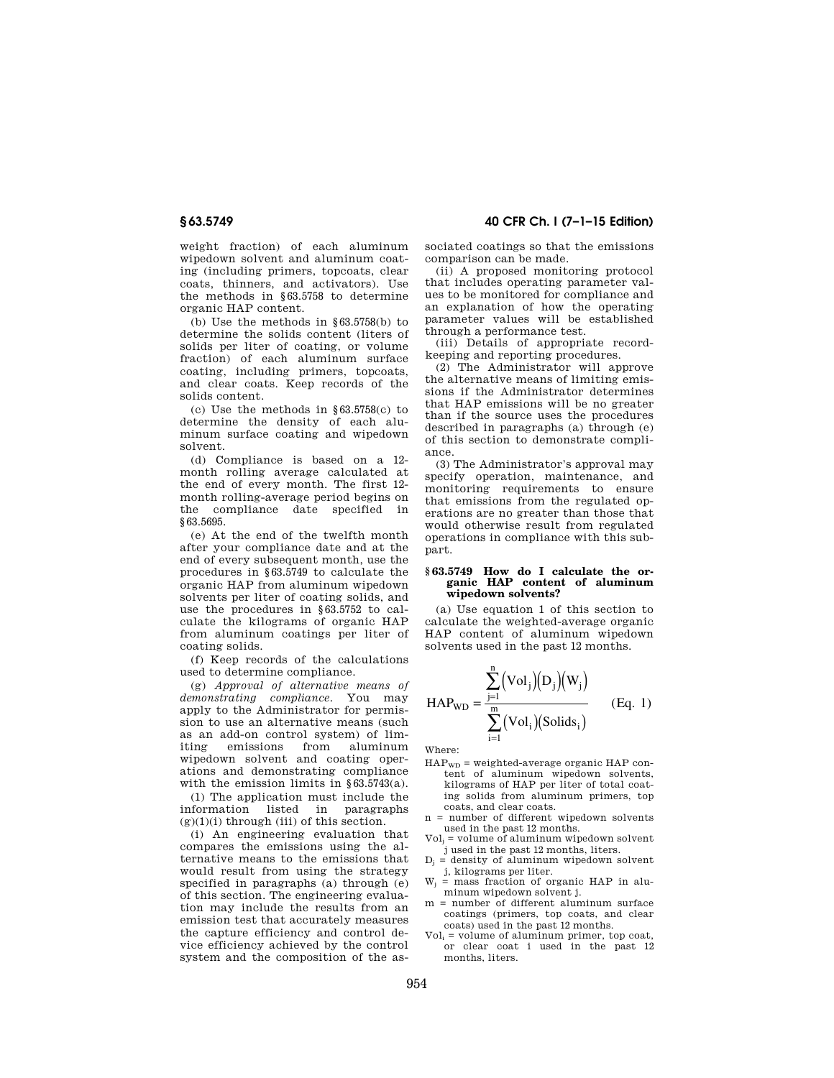weight fraction) of each aluminum wipedown solvent and aluminum coating (including primers, topcoats, clear coats, thinners, and activators). Use the methods in §63.5758 to determine organic HAP content.

(b) Use the methods in §63.5758(b) to determine the solids content (liters of solids per liter of coating, or volume fraction) of each aluminum surface coating, including primers, topcoats, and clear coats. Keep records of the solids content.

(c) Use the methods in §63.5758(c) to determine the density of each aluminum surface coating and wipedown solvent.

(d) Compliance is based on a 12 month rolling average calculated at the end of every month. The first 12 month rolling-average period begins on the compliance date specified in §63.5695.

(e) At the end of the twelfth month after your compliance date and at the end of every subsequent month, use the procedures in §63.5749 to calculate the organic HAP from aluminum wipedown solvents per liter of coating solids, and use the procedures in §63.5752 to calculate the kilograms of organic HAP from aluminum coatings per liter of coating solids.

(f) Keep records of the calculations used to determine compliance.

(g) *Approval of alternative means of demonstrating compliance.* You may apply to the Administrator for permission to use an alternative means (such as an add-on control system) of limiting emissions from aluminum wipedown solvent and coating operations and demonstrating compliance with the emission limits in  $§ 63.5743(a)$ .

(1) The application must include the information listed in paragraphs  $(g)(1)(i)$  through (iii) of this section.

(i) An engineering evaluation that compares the emissions using the alternative means to the emissions that would result from using the strategy specified in paragraphs (a) through (e) of this section. The engineering evaluation may include the results from an emission test that accurately measures the capture efficiency and control device efficiency achieved by the control system and the composition of the as-

# **§ 63.5749 40 CFR Ch. I (7–1–15 Edition)**

sociated coatings so that the emissions comparison can be made.

(ii) A proposed monitoring protocol that includes operating parameter values to be monitored for compliance and an explanation of how the operating parameter values will be established through a performance test.

(iii) Details of appropriate recordkeeping and reporting procedures.

(2) The Administrator will approve the alternative means of limiting emissions if the Administrator determines that HAP emissions will be no greater than if the source uses the procedures described in paragraphs (a) through (e) of this section to demonstrate compliance.

(3) The Administrator's approval may specify operation, maintenance, and monitoring requirements to ensure that emissions from the regulated operations are no greater than those that would otherwise result from regulated operations in compliance with this subpart.

#### **§ 63.5749 How do I calculate the organic HAP content of aluminum wipedown solvents?**

(a) Use equation 1 of this section to calculate the weighted-average organic HAP content of aluminum wipedown solvents used in the past 12 months.

$$
HAP_{WD} = \frac{\sum_{j=1}^{n} (Vol_j)(D_j)(W_j)}{\sum_{i=1}^{m} (Vol_i)(Solids_i)}
$$
 (Eq. 1)

Where:

- $HAP_{WD}$  = weighted-average organic  $HAP$  content of aluminum wipedown solvents, kilograms of HAP per liter of total coating solids from aluminum primers, top coats, and clear coats.
- n = number of different wipedown solvents used in the past 12 months.
- $Vol_i$  = volume of aluminum wipedown solvent j used in the past 12 months, liters.
- $D_j$  = density of aluminum wipedown solvent j, kilograms per liter.
- $W_i$  = mass fraction of organic HAP in aluminum wipedown solvent j.
- m = number of different aluminum surface coatings (primers, top coats, and clear coats) used in the past 12 months.
- $Vol_i$  = volume of aluminum primer, top coat, or clear coat i used in the past 12 months, liters.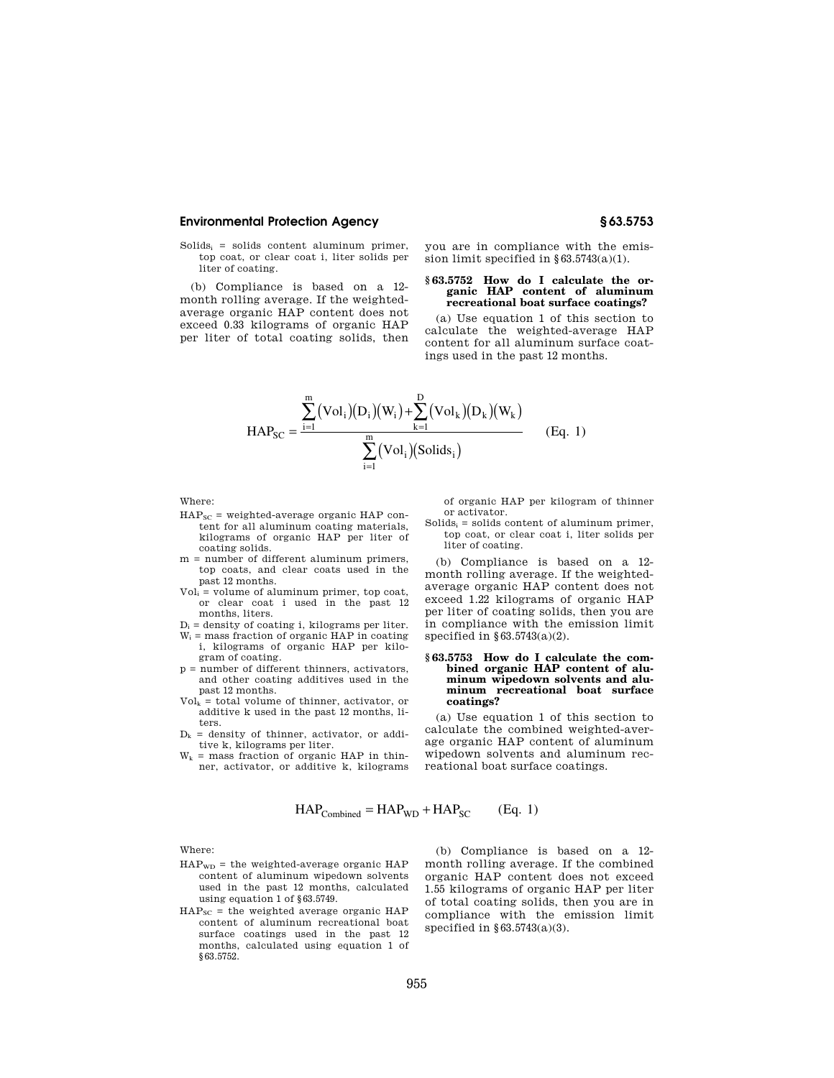$Solids_i = solids$  content aluminum primer. top coat, or clear coat i, liter solids per liter of coating.

(b) Compliance is based on a 12 month rolling average. If the weightedaverage organic HAP content does not exceed 0.33 kilograms of organic HAP per liter of total coating solids, then you are in compliance with the emission limit specified in  $§ 63.5743(a)(1)$ .

#### **§ 63.5752 How do I calculate the organic HAP content of aluminum recreational boat surface coatings?**

(a) Use equation 1 of this section to calculate the weighted-average HAP content for all aluminum surface coatings used in the past 12 months.

$$
HAP_{SC} = \frac{\sum_{i=1}^{m} (Vol_i)(D_i)(W_i) + \sum_{k=1}^{D} (Vol_k)(D_k)(W_k)}{\sum_{i=1}^{m} (Vol_i)(Solids_i)}
$$
(Eq. 1)

Where:

- $HAP_{SC}$  = weighted-average organic  $HAP$  content for all aluminum coating materials, kilograms of organic HAP per liter of coating solids.
- m = number of different aluminum primers, top coats, and clear coats used in the past 12 months.
- $Vol<sub>i</sub>$  = volume of aluminum primer, top coat, or clear coat i used in the past 12 months, liters.
- $D_i$  = density of coating i, kilograms per liter.
- $W_i$  = mass fraction of organic HAP in coating i, kilograms of organic HAP per kilogram of coating.
- p = number of different thinners, activators, and other coating additives used in the past 12 months.
- $Vol_k =$  total volume of thinner, activator, or additive k used in the past 12 months, liters.
- $D_k$  = density of thinner, activator, or additive k, kilograms per liter.
- $W_k$  = mass fraction of organic HAP in thinner, activator, or additive k, kilograms

of organic HAP per kilogram of thinner or activator.

 $Solids<sub>i</sub> = solids content of aluminum primer,$ top coat, or clear coat i, liter solids per liter of coating.

(b) Compliance is based on a 12 month rolling average. If the weightedaverage organic HAP content does not exceed 1.22 kilograms of organic HAP per liter of coating solids, then you are in compliance with the emission limit specified in §63.5743(a)(2).

#### **§ 63.5753 How do I calculate the combined organic HAP content of aluminum wipedown solvents and aluminum recreational boat surface coatings?**

(a) Use equation 1 of this section to calculate the combined weighted-average organic HAP content of aluminum wipedown solvents and aluminum recreational boat surface coatings.

 $HAP_{Combined} = HAP_{WD} + HAP_{SC}$  (Eq. 1)

Where:

- $HAP_{WD}$  = the weighted-average organic  $HAP$ content of aluminum wipedown solvents used in the past 12 months, calculated using equation 1 of §63.5749.
- $HAP<sub>SC</sub>$  = the weighted average organic HAP content of aluminum recreational boat surface coatings used in the past 12 months, calculated using equation 1 of §63.5752.

(b) Compliance is based on a 12 month rolling average. If the combined organic HAP content does not exceed 1.55 kilograms of organic HAP per liter of total coating solids, then you are in compliance with the emission limit specified in §63.5743(a)(3).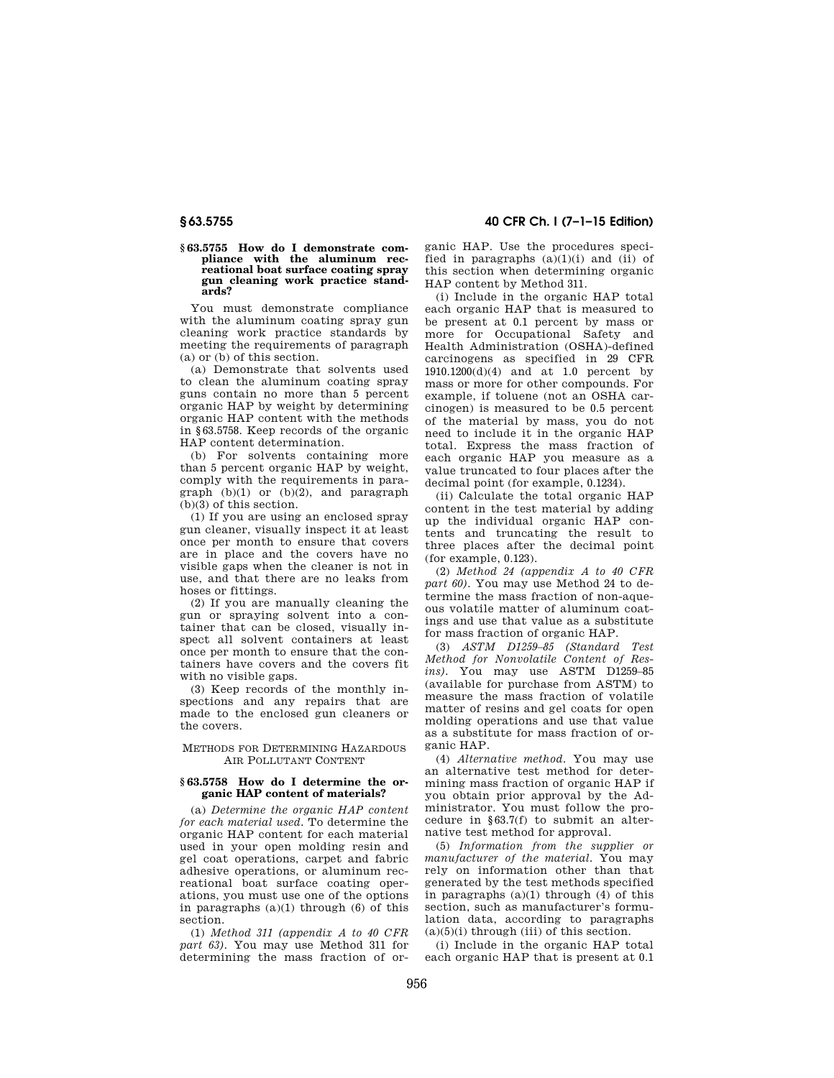#### **§ 63.5755 How do I demonstrate compliance with the aluminum recreational boat surface coating spray gun cleaning work practice standards?**

You must demonstrate compliance with the aluminum coating spray gun cleaning work practice standards by meeting the requirements of paragraph (a) or (b) of this section.

(a) Demonstrate that solvents used to clean the aluminum coating spray guns contain no more than 5 percent organic HAP by weight by determining organic HAP content with the methods in §63.5758. Keep records of the organic HAP content determination.

(b) For solvents containing more than 5 percent organic HAP by weight, comply with the requirements in paragraph  $(b)(1)$  or  $(b)(2)$ , and paragraph (b)(3) of this section.

(1) If you are using an enclosed spray gun cleaner, visually inspect it at least once per month to ensure that covers are in place and the covers have no visible gaps when the cleaner is not in use, and that there are no leaks from hoses or fittings.

(2) If you are manually cleaning the gun or spraying solvent into a container that can be closed, visually inspect all solvent containers at least once per month to ensure that the containers have covers and the covers fit with no visible gaps.

(3) Keep records of the monthly inspections and any repairs that are made to the enclosed gun cleaners or the covers.

## METHODS FOR DETERMINING HAZARDOUS AIR POLLUTANT CONTENT

#### **§ 63.5758 How do I determine the organic HAP content of materials?**

(a) *Determine the organic HAP content for each material used.* To determine the organic HAP content for each material used in your open molding resin and gel coat operations, carpet and fabric adhesive operations, or aluminum recreational boat surface coating operations, you must use one of the options in paragraphs  $(a)(1)$  through  $(6)$  of this section.

(1) *Method 311 (appendix A to 40 CFR part 63).* You may use Method 311 for determining the mass fraction of or-

**§ 63.5755 40 CFR Ch. I (7–1–15 Edition)** 

ganic HAP. Use the procedures specified in paragraphs  $(a)(1)(i)$  and  $(ii)$  of this section when determining organic HAP content by Method 311.

(i) Include in the organic HAP total each organic HAP that is measured to be present at 0.1 percent by mass or more for Occupational Safety and Health Administration (OSHA)-defined carcinogens as specified in 29 CFR  $1910.1200(d)(4)$  and at 1.0 percent by mass or more for other compounds. For example, if toluene (not an OSHA carcinogen) is measured to be 0.5 percent of the material by mass, you do not need to include it in the organic HAP total. Express the mass fraction of each organic HAP you measure as a value truncated to four places after the decimal point (for example, 0.1234).

(ii) Calculate the total organic HAP content in the test material by adding up the individual organic HAP contents and truncating the result to three places after the decimal point (for example, 0.123).

(2) *Method 24 (appendix A to 40 CFR part 60).* You may use Method 24 to determine the mass fraction of non-aqueous volatile matter of aluminum coatings and use that value as a substitute for mass fraction of organic HAP.

(3) *ASTM D1259–85 (Standard Test Method for Nonvolatile Content of Resins).* You may use ASTM D1259–85 (available for purchase from ASTM) to measure the mass fraction of volatile matter of resins and gel coats for open molding operations and use that value as a substitute for mass fraction of organic HAP.

(4) *Alternative method.* You may use an alternative test method for determining mass fraction of organic HAP if you obtain prior approval by the Administrator. You must follow the procedure in §63.7(f) to submit an alternative test method for approval.

(5) *Information from the supplier or manufacturer of the material.* You may rely on information other than that generated by the test methods specified in paragraphs  $(a)(1)$  through  $(4)$  of this section, such as manufacturer's formulation data, according to paragraphs  $(a)(5)(i)$  through (iii) of this section.

(i) Include in the organic HAP total each organic HAP that is present at 0.1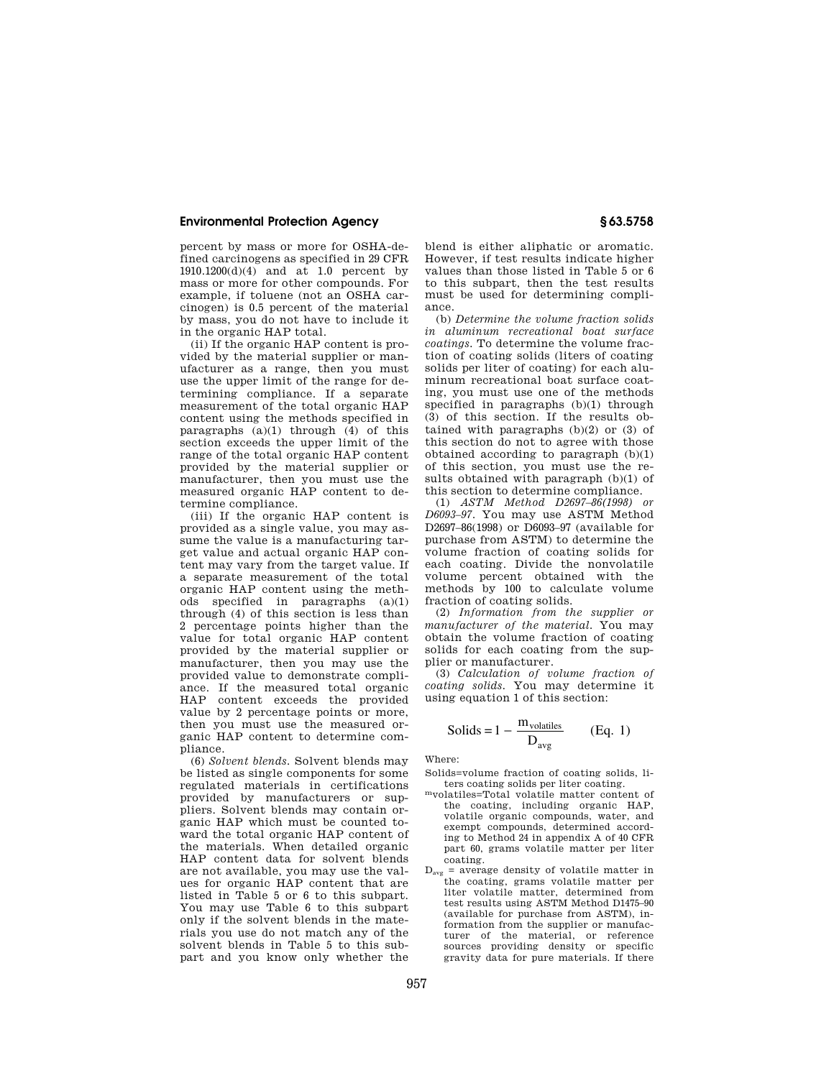percent by mass or more for OSHA-defined carcinogens as specified in 29 CFR  $1910.1200(d)(4)$  and at 1.0 percent by mass or more for other compounds. For example, if toluene (not an OSHA carcinogen) is 0.5 percent of the material by mass, you do not have to include it in the organic HAP total.

(ii) If the organic HAP content is provided by the material supplier or manufacturer as a range, then you must use the upper limit of the range for determining compliance. If a separate measurement of the total organic HAP content using the methods specified in paragraphs  $(a)(1)$  through  $(4)$  of this section exceeds the upper limit of the range of the total organic HAP content provided by the material supplier or manufacturer, then you must use the measured organic HAP content to determine compliance.

(iii) If the organic HAP content is provided as a single value, you may assume the value is a manufacturing target value and actual organic HAP content may vary from the target value. If a separate measurement of the total organic HAP content using the methods specified in paragraphs (a)(1) through (4) of this section is less than 2 percentage points higher than the value for total organic HAP content provided by the material supplier or manufacturer, then you may use the provided value to demonstrate compliance. If the measured total organic HAP content exceeds the provided value by 2 percentage points or more, then you must use the measured organic HAP content to determine compliance.

(6) *Solvent blends.* Solvent blends may be listed as single components for some regulated materials in certifications provided by manufacturers or suppliers. Solvent blends may contain organic HAP which must be counted toward the total organic HAP content of the materials. When detailed organic HAP content data for solvent blends are not available, you may use the values for organic HAP content that are listed in Table 5 or 6 to this subpart. You may use Table 6 to this subpart only if the solvent blends in the materials you use do not match any of the solvent blends in Table 5 to this subpart and you know only whether the

blend is either aliphatic or aromatic. However, if test results indicate higher values than those listed in Table 5 or 6 to this subpart, then the test results must be used for determining compliance.

(b) *Determine the volume fraction solids in aluminum recreational boat surface coatings.* To determine the volume fraction of coating solids (liters of coating solids per liter of coating) for each aluminum recreational boat surface coating, you must use one of the methods specified in paragraphs (b)(1) through (3) of this section. If the results obtained with paragraphs  $(b)(2)$  or  $(3)$  of this section do not to agree with those obtained according to paragraph (b)(1) of this section, you must use the results obtained with paragraph (b)(1) of this section to determine compliance.

(1) *ASTM Method D2697–86(1998) or D6093–97.* You may use ASTM Method D2697–86(1998) or D6093–97 (available for purchase from ASTM) to determine the volume fraction of coating solids for each coating. Divide the nonvolatile volume percent obtained with the methods by 100 to calculate volume fraction of coating solids.

(2) *Information from the supplier or manufacturer of the material.* You may obtain the volume fraction of coating solids for each coating from the supplier or manufacturer.

(3) *Calculation of volume fraction of coating solids.* You may determine it using equation 1 of this section:

$$
Solids = 1 - \frac{m_{volatiles}}{D_{avg}}
$$
 (Eq. 1)

Where:

Solids=volume fraction of coating solids, li-

- mvolatiles=Total volatile matter content of the coating, including organic HAP, volatile organic compounds, water, and exempt compounds, determined according to Method 24 in appendix A of 40 CFR part 60, grams volatile matter per liter coating.
- $\mathbf{D}_\text{avg}$  = average density of volatile matter in the coating, grams volatile matter per liter volatile matter, determined from test results using ASTM Method D1475–90 (available for purchase from ASTM), information from the supplier or manufacturer of the material, or reference sources providing density or specific gravity data for pure materials. If there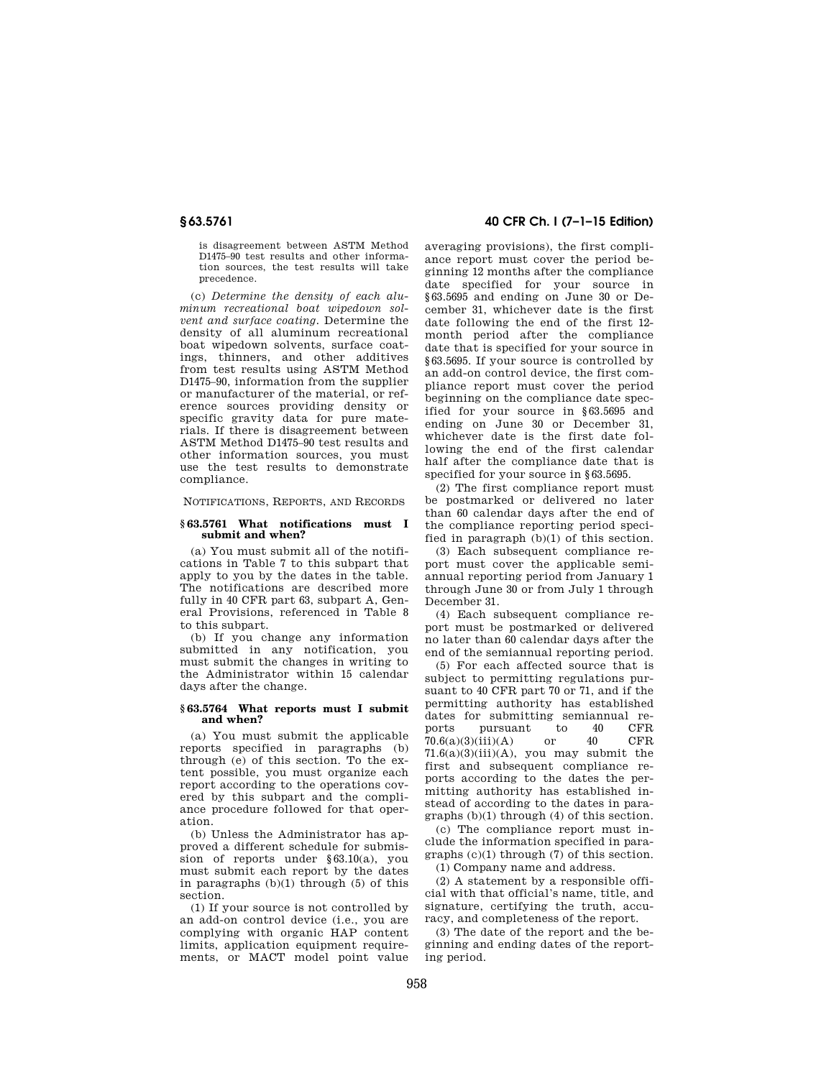is disagreement between ASTM Method D1475–90 test results and other information sources, the test results will take precedence.

(c) *Determine the density of each aluminum recreational boat wipedown solvent and surface coating.* Determine the density of all aluminum recreational boat wipedown solvents, surface coatings, thinners, and other additives from test results using ASTM Method D1475–90, information from the supplier or manufacturer of the material, or reference sources providing density or specific gravity data for pure materials. If there is disagreement between ASTM Method D1475–90 test results and other information sources, you must use the test results to demonstrate compliance.

NOTIFICATIONS, REPORTS, AND RECORDS

## **§ 63.5761 What notifications must I submit and when?**

(a) You must submit all of the notifications in Table 7 to this subpart that apply to you by the dates in the table. The notifications are described more fully in 40 CFR part 63, subpart A, General Provisions, referenced in Table 8 to this subpart.

(b) If you change any information submitted in any notification, you must submit the changes in writing to the Administrator within 15 calendar days after the change.

## **§ 63.5764 What reports must I submit and when?**

(a) You must submit the applicable reports specified in paragraphs (b) through (e) of this section. To the extent possible, you must organize each report according to the operations covered by this subpart and the compliance procedure followed for that operation.

(b) Unless the Administrator has approved a different schedule for submission of reports under §63.10(a), you must submit each report by the dates in paragraphs (b)(1) through (5) of this section.

(1) If your source is not controlled by an add-on control device (i.e., you are complying with organic HAP content limits, application equipment requirements, or MACT model point value

# **§ 63.5761 40 CFR Ch. I (7–1–15 Edition)**

averaging provisions), the first compliance report must cover the period beginning 12 months after the compliance date specified for your source in §63.5695 and ending on June 30 or December 31, whichever date is the first date following the end of the first 12 month period after the compliance date that is specified for your source in §63.5695. If your source is controlled by an add-on control device, the first compliance report must cover the period beginning on the compliance date specified for your source in §63.5695 and ending on June 30 or December 31, whichever date is the first date following the end of the first calendar half after the compliance date that is specified for your source in §63.5695.

(2) The first compliance report must be postmarked or delivered no later than 60 calendar days after the end of the compliance reporting period specified in paragraph (b)(1) of this section.

(3) Each subsequent compliance report must cover the applicable semiannual reporting period from January 1 through June 30 or from July 1 through December 31.

(4) Each subsequent compliance report must be postmarked or delivered no later than 60 calendar days after the end of the semiannual reporting period.

(5) For each affected source that is subject to permitting regulations pursuant to 40 CFR part 70 or 71, and if the permitting authority has established dates for submitting semiannual reports pursuant to 40 CFR pursuant to  $40$  CFR<br>iii)(A) or  $40$  CFR  $70.6(a)(3)(iii)(A)$  or  $71.6(a)(3)(iii)(A)$ , you may submit the first and subsequent compliance reports according to the dates the permitting authority has established instead of according to the dates in paragraphs (b)(1) through (4) of this section.

(c) The compliance report must include the information specified in paragraphs (c)(1) through (7) of this section. (1) Company name and address.

(2) A statement by a responsible official with that official's name, title, and signature, certifying the truth, accuracy, and completeness of the report.

(3) The date of the report and the beginning and ending dates of the reporting period.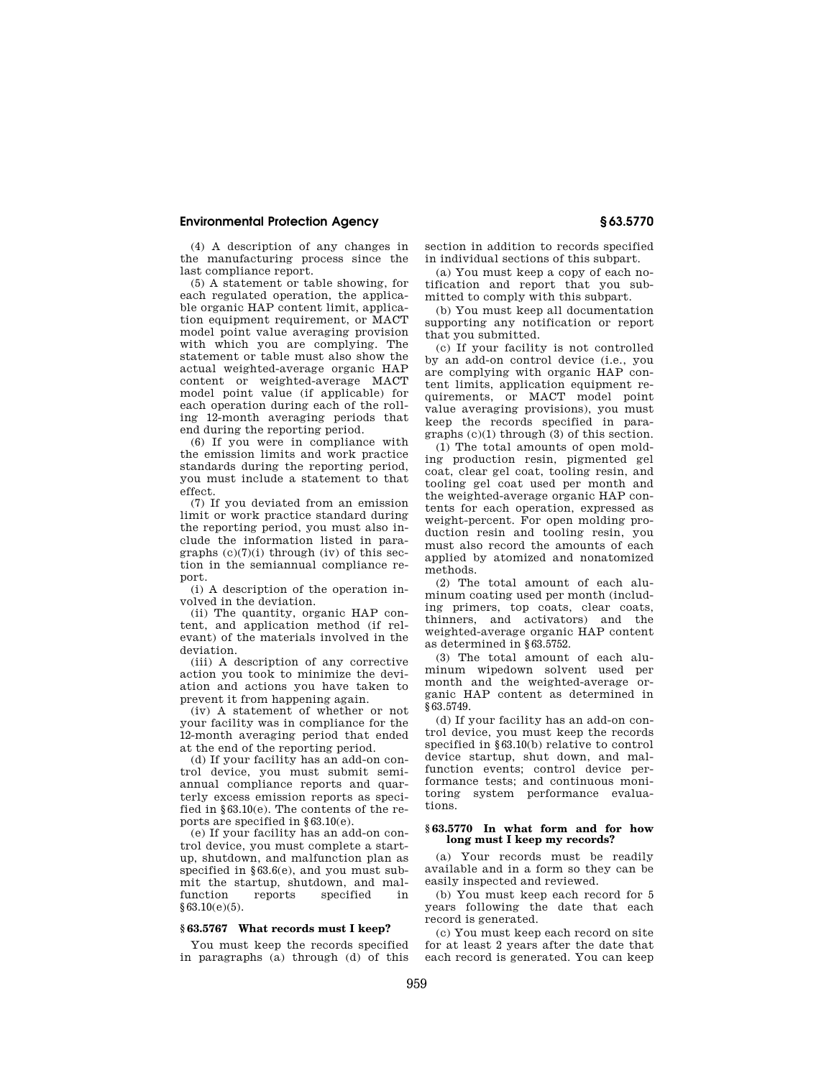(4) A description of any changes in the manufacturing process since the last compliance report.

(5) A statement or table showing, for each regulated operation, the applicable organic HAP content limit, application equipment requirement, or MACT model point value averaging provision with which you are complying. The statement or table must also show the actual weighted-average organic HAP content or weighted-average MACT model point value (if applicable) for each operation during each of the rolling 12-month averaging periods that end during the reporting period.

(6) If you were in compliance with the emission limits and work practice standards during the reporting period, you must include a statement to that effect.

(7) If you deviated from an emission limit or work practice standard during the reporting period, you must also include the information listed in paragraphs  $(c)(7)(i)$  through  $(iv)$  of this section in the semiannual compliance report.

(i) A description of the operation involved in the deviation.

(ii) The quantity, organic HAP content, and application method (if relevant) of the materials involved in the deviation.

(iii) A description of any corrective action you took to minimize the deviation and actions you have taken to prevent it from happening again.

(iv) A statement of whether or not your facility was in compliance for the 12-month averaging period that ended at the end of the reporting period.

(d) If your facility has an add-on control device, you must submit semiannual compliance reports and quarterly excess emission reports as specified in §63.10(e). The contents of the reports are specified in §63.10(e).

(e) If your facility has an add-on control device, you must complete a startup, shutdown, and malfunction plan as specified in §63.6(e), and you must submit the startup, shutdown, and malfunction reports specified in  $§63.10(e)(5).$ 

## **§ 63.5767 What records must I keep?**

You must keep the records specified in paragraphs  $(a)$  through  $(d)$  of this section in addition to records specified in individual sections of this subpart.

(a) You must keep a copy of each notification and report that you submitted to comply with this subpart.

(b) You must keep all documentation supporting any notification or report that you submitted.

(c) If your facility is not controlled by an add-on control device (i.e., you are complying with organic HAP content limits, application equipment requirements, or MACT model point value averaging provisions), you must keep the records specified in paragraphs (c)(1) through (3) of this section.

(1) The total amounts of open molding production resin, pigmented gel coat, clear gel coat, tooling resin, and tooling gel coat used per month and the weighted-average organic HAP contents for each operation, expressed as weight-percent. For open molding production resin and tooling resin, you must also record the amounts of each applied by atomized and nonatomized methods.

(2) The total amount of each aluminum coating used per month (including primers, top coats, clear coats, thinners, and activators) and the weighted-average organic HAP content as determined in §63.5752.

(3) The total amount of each aluminum wipedown solvent used per month and the weighted-average organic HAP content as determined in §63.5749.

(d) If your facility has an add-on control device, you must keep the records specified in §63.10(b) relative to control device startup, shut down, and malfunction events; control device performance tests; and continuous monitoring system performance evaluations.

## **§ 63.5770 In what form and for how long must I keep my records?**

(a) Your records must be readily available and in a form so they can be easily inspected and reviewed.

(b) You must keep each record for 5 years following the date that each record is generated.

(c) You must keep each record on site for at least 2 years after the date that each record is generated. You can keep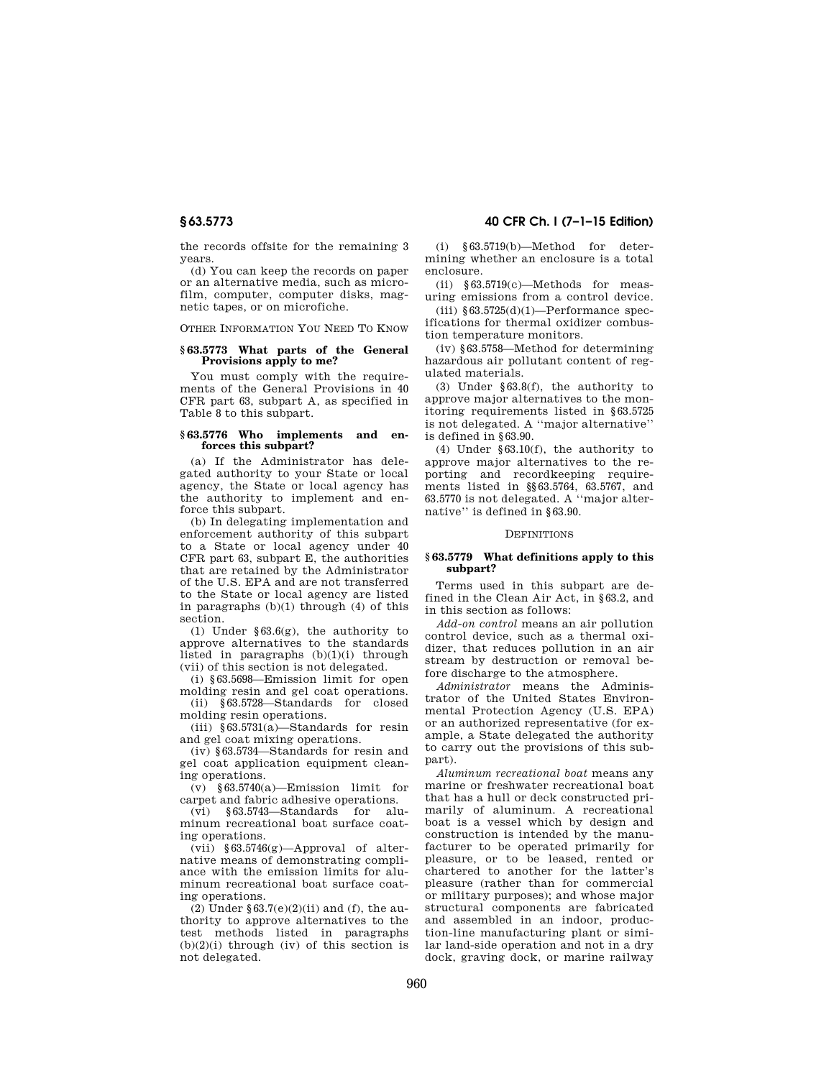the records offsite for the remaining 3 years.

(d) You can keep the records on paper or an alternative media, such as microfilm, computer, computer disks, magnetic tapes, or on microfiche.

OTHER INFORMATION YOU NEED TO KNOW

## **§ 63.5773 What parts of the General Provisions apply to me?**

You must comply with the requirements of the General Provisions in 40 CFR part 63, subpart A, as specified in Table 8 to this subpart.

## **§ 63.5776 Who implements and enforces this subpart?**

(a) If the Administrator has delegated authority to your State or local agency, the State or local agency has the authority to implement and enforce this subpart.

(b) In delegating implementation and enforcement authority of this subpart to a State or local agency under 40 CFR part 63, subpart E, the authorities that are retained by the Administrator of the U.S. EPA and are not transferred to the State or local agency are listed in paragraphs (b)(1) through (4) of this section.

(1) Under §63.6(g), the authority to approve alternatives to the standards listed in paragraphs (b)(1)(i) through (vii) of this section is not delegated.

(i) §63.5698—Emission limit for open molding resin and gel coat operations.

(ii) §63.5728—Standards for closed molding resin operations.

(iii)  $§63.5731(a)$ -Standards for resin and gel coat mixing operations.

(iv) §63.5734—Standards for resin and gel coat application equipment cleaning operations.

(v) §63.5740(a)—Emission limit for carpet and fabric adhesive operations.

(vi) §63.5743—Standards for aluminum recreational boat surface coating operations.

(vii) §63.5746(g)—Approval of alternative means of demonstrating compliance with the emission limits for aluminum recreational boat surface coating operations.

(2) Under  $\S 63.7(e)(2)(ii)$  and (f), the authority to approve alternatives to the test methods listed in paragraphs  $(b)(2)(i)$  through  $(iv)$  of this section is not delegated.

(i) §63.5719(b)—Method for determining whether an enclosure is a total enclosure.

(ii) §63.5719(c)—Methods for measuring emissions from a control device.

(iii)  $$63.5725(d)(1)$ —Performance specifications for thermal oxidizer combustion temperature monitors.

(iv) §63.5758—Method for determining hazardous air pollutant content of regulated materials.

(3) Under §63.8(f), the authority to approve major alternatives to the monitoring requirements listed in §63.5725 is not delegated. A ''major alternative'' is defined in §63.90.

(4) Under §63.10(f), the authority to approve major alternatives to the reporting and recordkeeping requirements listed in §§63.5764, 63.5767, and 63.5770 is not delegated. A ''major alternative'' is defined in §63.90.

#### **DEFINITIONS**

#### **§ 63.5779 What definitions apply to this subpart?**

Terms used in this subpart are defined in the Clean Air Act, in §63.2, and in this section as follows:

*Add-on control* means an air pollution control device, such as a thermal oxidizer, that reduces pollution in an air stream by destruction or removal before discharge to the atmosphere.

*Administrator* means the Administrator of the United States Environmental Protection Agency (U.S. EPA) or an authorized representative (for example, a State delegated the authority to carry out the provisions of this subpart).

*Aluminum recreational boat* means any marine or freshwater recreational boat that has a hull or deck constructed primarily of aluminum. A recreational boat is a vessel which by design and construction is intended by the manufacturer to be operated primarily for pleasure, or to be leased, rented or chartered to another for the latter's pleasure (rather than for commercial or military purposes); and whose major structural components are fabricated and assembled in an indoor, production-line manufacturing plant or similar land-side operation and not in a dry dock, graving dock, or marine railway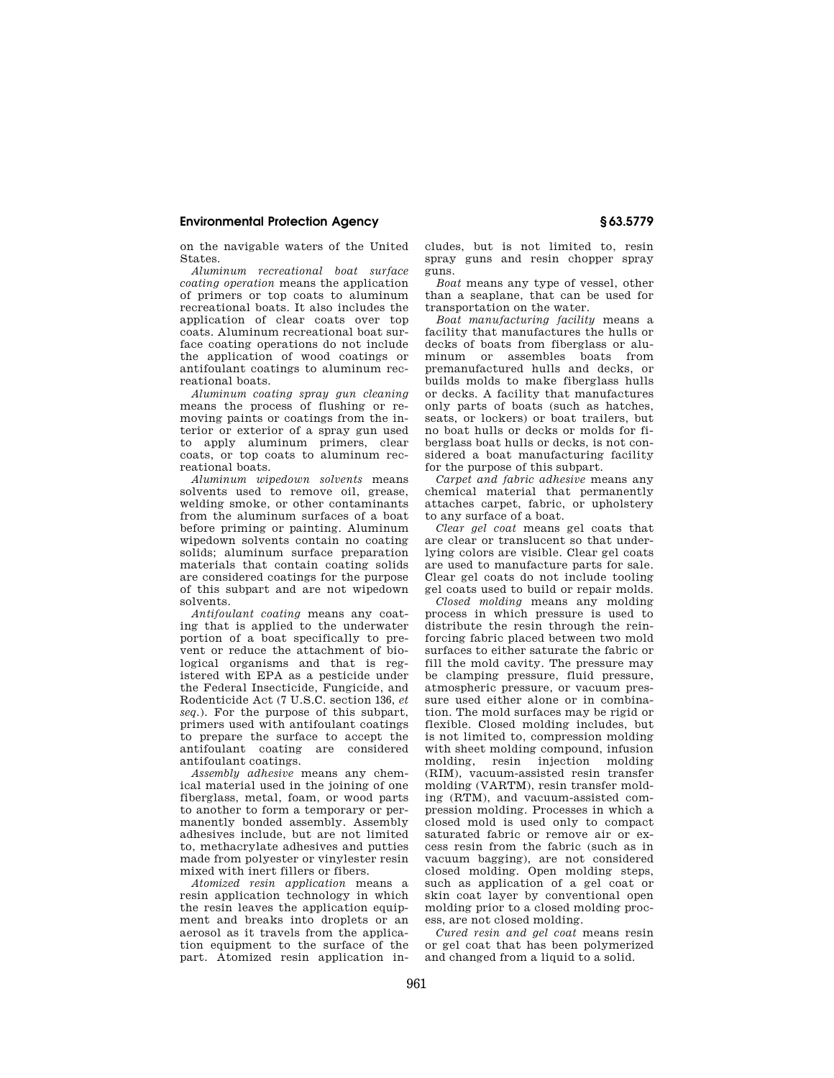on the navigable waters of the United States.

*Aluminum recreational boat surface coating operation* means the application of primers or top coats to aluminum recreational boats. It also includes the application of clear coats over top coats. Aluminum recreational boat surface coating operations do not include the application of wood coatings or antifoulant coatings to aluminum recreational boats.

*Aluminum coating spray gun cleaning*  means the process of flushing or removing paints or coatings from the interior or exterior of a spray gun used to apply aluminum primers, clear coats, or top coats to aluminum recreational boats.

*Aluminum wipedown solvents* means solvents used to remove oil, grease, welding smoke, or other contaminants from the aluminum surfaces of a boat before priming or painting. Aluminum wipedown solvents contain no coating solids; aluminum surface preparation materials that contain coating solids are considered coatings for the purpose of this subpart and are not wipedown solvents.

*Antifoulant coating* means any coating that is applied to the underwater portion of a boat specifically to prevent or reduce the attachment of biological organisms and that is registered with EPA as a pesticide under the Federal Insecticide, Fungicide, and Rodenticide Act (7 U.S.C. section 136, *et seq.*). For the purpose of this subpart, primers used with antifoulant coatings to prepare the surface to accept the antifoulant coating are considered antifoulant coatings.

*Assembly adhesive* means any chemical material used in the joining of one fiberglass, metal, foam, or wood parts to another to form a temporary or permanently bonded assembly. Assembly adhesives include, but are not limited to, methacrylate adhesives and putties made from polyester or vinylester resin mixed with inert fillers or fibers.

*Atomized resin application* means a resin application technology in which the resin leaves the application equipment and breaks into droplets or an aerosol as it travels from the application equipment to the surface of the part. Atomized resin application includes, but is not limited to, resin spray guns and resin chopper spray guns.

*Boat* means any type of vessel, other than a seaplane, that can be used for transportation on the water.

*Boat manufacturing facility* means a facility that manufactures the hulls or decks of boats from fiberglass or aluminum or assembles boats from premanufactured hulls and decks, or builds molds to make fiberglass hulls or decks. A facility that manufactures only parts of boats (such as hatches, seats, or lockers) or boat trailers, but no boat hulls or decks or molds for fiberglass boat hulls or decks, is not considered a boat manufacturing facility for the purpose of this subpart.

*Carpet and fabric adhesive* means any chemical material that permanently attaches carpet, fabric, or upholstery to any surface of a boat.

*Clear gel coat* means gel coats that are clear or translucent so that underlying colors are visible. Clear gel coats are used to manufacture parts for sale. Clear gel coats do not include tooling gel coats used to build or repair molds.

*Closed molding* means any molding process in which pressure is used to distribute the resin through the reinforcing fabric placed between two mold surfaces to either saturate the fabric or fill the mold cavity. The pressure may be clamping pressure, fluid pressure, atmospheric pressure, or vacuum pressure used either alone or in combination. The mold surfaces may be rigid or flexible. Closed molding includes, but is not limited to, compression molding with sheet molding compound, infusion molding, resin injection molding (RIM), vacuum-assisted resin transfer molding (VARTM), resin transfer molding (RTM), and vacuum-assisted compression molding. Processes in which a closed mold is used only to compact saturated fabric or remove air or excess resin from the fabric (such as in vacuum bagging), are not considered closed molding. Open molding steps, such as application of a gel coat or skin coat layer by conventional open molding prior to a closed molding process, are not closed molding.

*Cured resin and gel coat* means resin or gel coat that has been polymerized and changed from a liquid to a solid.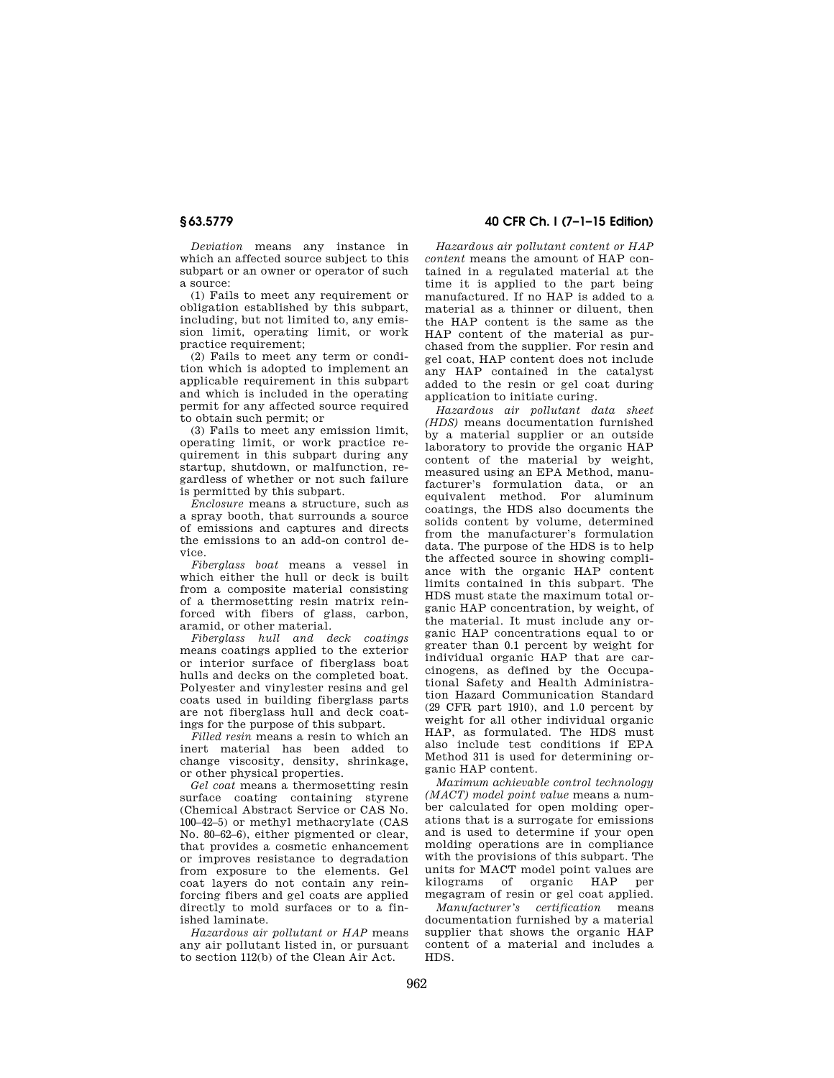*Deviation* means any instance in which an affected source subject to this subpart or an owner or operator of such a source:

(1) Fails to meet any requirement or obligation established by this subpart, including, but not limited to, any emission limit, operating limit, or work practice requirement;

(2) Fails to meet any term or condition which is adopted to implement an applicable requirement in this subpart and which is included in the operating permit for any affected source required to obtain such permit; or

(3) Fails to meet any emission limit, operating limit, or work practice requirement in this subpart during any startup, shutdown, or malfunction, regardless of whether or not such failure is permitted by this subpart.

*Enclosure* means a structure, such as a spray booth, that surrounds a source of emissions and captures and directs the emissions to an add-on control device.

*Fiberglass boat* means a vessel in which either the hull or deck is built from a composite material consisting of a thermosetting resin matrix reinforced with fibers of glass, carbon, aramid, or other material.

*Fiberglass hull and deck coatings*  means coatings applied to the exterior or interior surface of fiberglass boat hulls and decks on the completed boat. Polyester and vinylester resins and gel coats used in building fiberglass parts are not fiberglass hull and deck coatings for the purpose of this subpart.

*Filled resin* means a resin to which an inert material has been added to change viscosity, density, shrinkage, or other physical properties.

*Gel coat* means a thermosetting resin surface coating containing styrene (Chemical Abstract Service or CAS No. 100–42–5) or methyl methacrylate (CAS No. 80–62–6), either pigmented or clear, that provides a cosmetic enhancement or improves resistance to degradation from exposure to the elements. Gel coat layers do not contain any reinforcing fibers and gel coats are applied directly to mold surfaces or to a finished laminate.

*Hazardous air pollutant or HAP* means any air pollutant listed in, or pursuant to section 112(b) of the Clean Air Act.

# **§ 63.5779 40 CFR Ch. I (7–1–15 Edition)**

*Hazardous air pollutant content or HAP content* means the amount of HAP contained in a regulated material at the time it is applied to the part being manufactured. If no HAP is added to a material as a thinner or diluent, then the HAP content is the same as the HAP content of the material as purchased from the supplier. For resin and gel coat, HAP content does not include any HAP contained in the catalyst added to the resin or gel coat during application to initiate curing.

*Hazardous air pollutant data sheet (HDS)* means documentation furnished by a material supplier or an outside laboratory to provide the organic HAP content of the material by weight, measured using an EPA Method, manufacturer's formulation data, or an equivalent method. For aluminum coatings, the HDS also documents the solids content by volume, determined from the manufacturer's formulation data. The purpose of the HDS is to help the affected source in showing compliance with the organic HAP content limits contained in this subpart. The HDS must state the maximum total organic HAP concentration, by weight, of the material. It must include any organic HAP concentrations equal to or greater than 0.1 percent by weight for individual organic HAP that are carcinogens, as defined by the Occupational Safety and Health Administration Hazard Communication Standard (29 CFR part 1910), and 1.0 percent by weight for all other individual organic HAP, as formulated. The HDS must also include test conditions if EPA Method 311 is used for determining organic HAP content.

*Maximum achievable control technology (MACT) model point value* means a number calculated for open molding operations that is a surrogate for emissions and is used to determine if your open molding operations are in compliance with the provisions of this subpart. The units for MACT model point values are kilograms of organic HAP per megagram of resin or gel coat applied.

*Manufacturer's certification* means documentation furnished by a material supplier that shows the organic HAP content of a material and includes a HDS.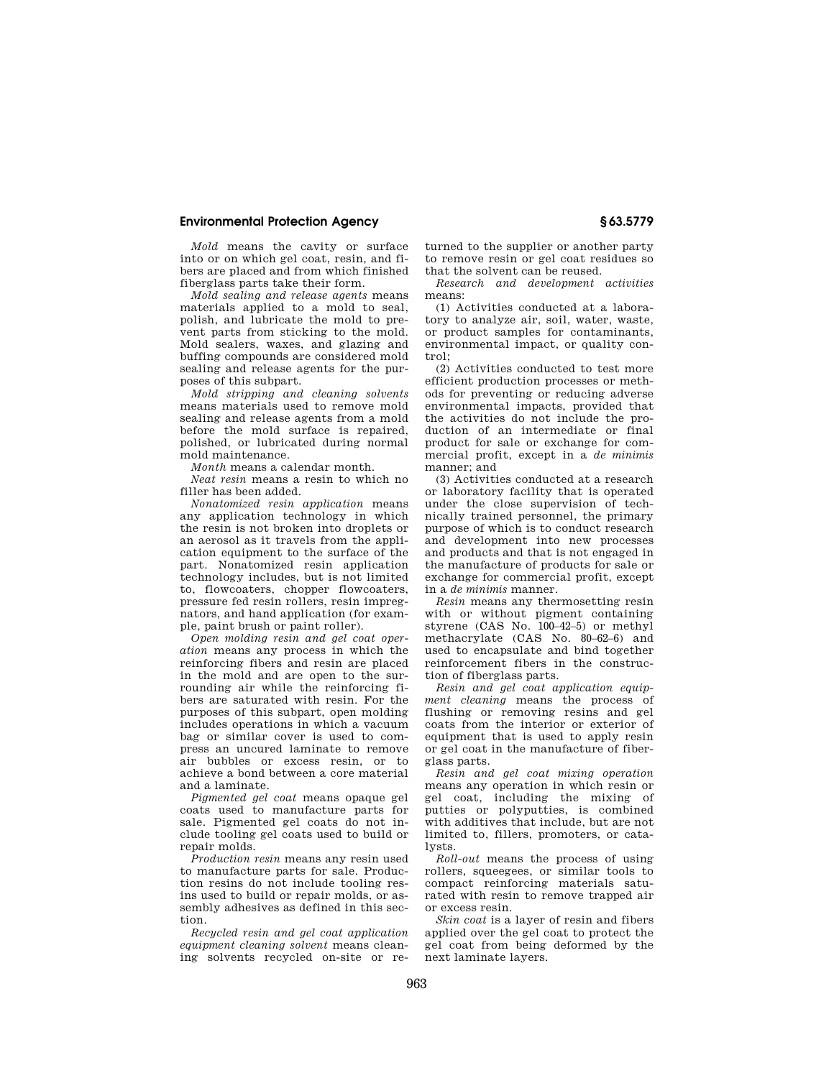*Mold* means the cavity or surface into or on which gel coat, resin, and fibers are placed and from which finished fiberglass parts take their form.

*Mold sealing and release agents* means materials applied to a mold to seal, polish, and lubricate the mold to prevent parts from sticking to the mold. Mold sealers, waxes, and glazing and buffing compounds are considered mold sealing and release agents for the purposes of this subpart.

*Mold stripping and cleaning solvents*  means materials used to remove mold sealing and release agents from a mold before the mold surface is repaired, polished, or lubricated during normal mold maintenance.

*Month* means a calendar month.

*Neat resin* means a resin to which no filler has been added.

*Nonatomized resin application* means any application technology in which the resin is not broken into droplets or an aerosol as it travels from the application equipment to the surface of the part. Nonatomized resin application technology includes, but is not limited to, flowcoaters, chopper flowcoaters, pressure fed resin rollers, resin impregnators, and hand application (for example, paint brush or paint roller).

*Open molding resin and gel coat operation* means any process in which the reinforcing fibers and resin are placed in the mold and are open to the surrounding air while the reinforcing fibers are saturated with resin. For the purposes of this subpart, open molding includes operations in which a vacuum bag or similar cover is used to compress an uncured laminate to remove air bubbles or excess resin, or to achieve a bond between a core material and a laminate.

*Pigmented gel coat* means opaque gel coats used to manufacture parts for sale. Pigmented gel coats do not include tooling gel coats used to build or repair molds.

*Production resin* means any resin used to manufacture parts for sale. Production resins do not include tooling resins used to build or repair molds, or assembly adhesives as defined in this section.

*Recycled resin and gel coat application equipment cleaning solvent* means cleaning solvents recycled on-site or returned to the supplier or another party to remove resin or gel coat residues so that the solvent can be reused.

*Research and development activities*  means:

(1) Activities conducted at a laboratory to analyze air, soil, water, waste, or product samples for contaminants, environmental impact, or quality control;

(2) Activities conducted to test more efficient production processes or methods for preventing or reducing adverse environmental impacts, provided that the activities do not include the production of an intermediate or final product for sale or exchange for commercial profit, except in a *de minimis*  manner; and

(3) Activities conducted at a research or laboratory facility that is operated under the close supervision of technically trained personnel, the primary purpose of which is to conduct research and development into new processes and products and that is not engaged in the manufacture of products for sale or exchange for commercial profit, except in a *de minimis* manner.

*Resin* means any thermosetting resin with or without pigment containing styrene (CAS No. 100–42–5) or methyl methacrylate (CAS No. 80–62–6) and used to encapsulate and bind together reinforcement fibers in the construction of fiberglass parts.

*Resin and gel coat application equipment cleaning* means the process of flushing or removing resins and gel coats from the interior or exterior of equipment that is used to apply resin or gel coat in the manufacture of fiberglass parts.

*Resin and gel coat mixing operation*  means any operation in which resin or gel coat, including the mixing of putties or polyputties, is combined with additives that include, but are not limited to, fillers, promoters, or catalysts.

*Roll-out* means the process of using rollers, squeegees, or similar tools to compact reinforcing materials saturated with resin to remove trapped air or excess resin.

*Skin coat* is a layer of resin and fibers applied over the gel coat to protect the gel coat from being deformed by the next laminate layers.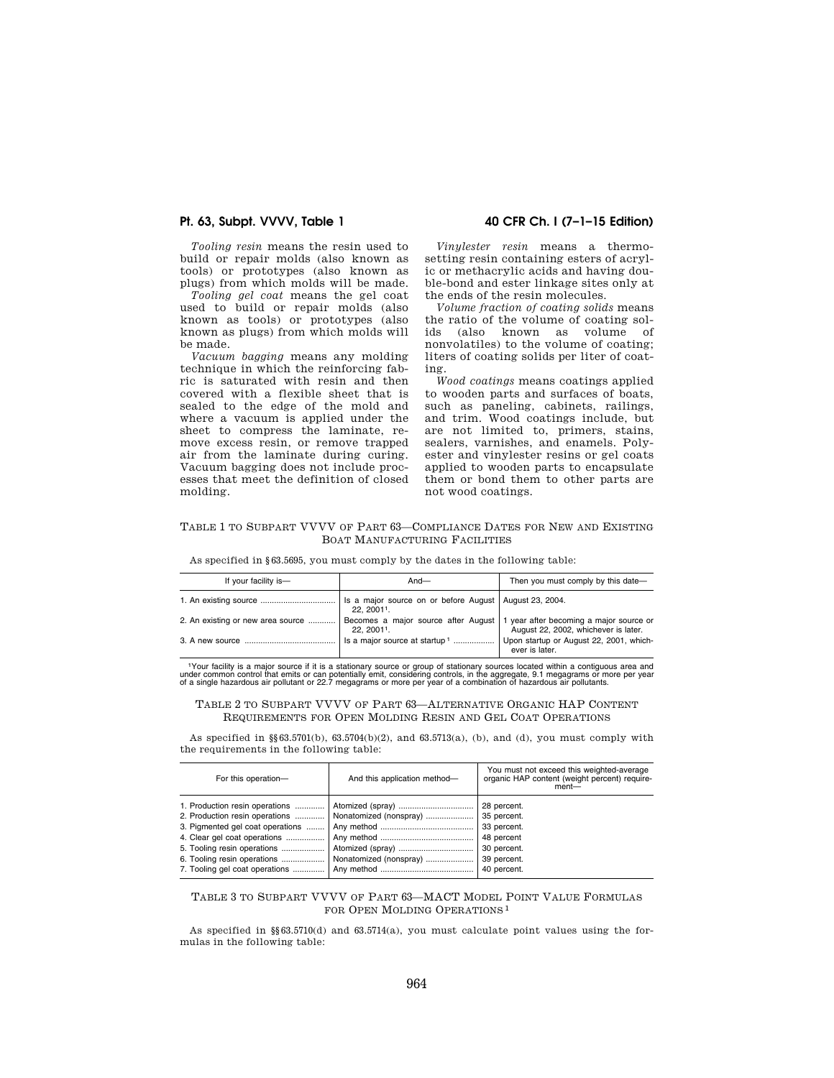*Tooling resin* means the resin used to build or repair molds (also known as tools) or prototypes (also known as plugs) from which molds will be made.

*Tooling gel coat* means the gel coat used to build or repair molds (also known as tools) or prototypes (also known as plugs) from which molds will be made.

*Vacuum bagging* means any molding technique in which the reinforcing fabric is saturated with resin and then covered with a flexible sheet that is sealed to the edge of the mold and where a vacuum is applied under the sheet to compress the laminate, remove excess resin, or remove trapped air from the laminate during curing. Vacuum bagging does not include processes that meet the definition of closed molding.

## **Pt. 63, Subpt. VVVV, Table 1 40 CFR Ch. I (7–1–15 Edition)**

*Vinylester resin* means a thermosetting resin containing esters of acrylic or methacrylic acids and having double-bond and ester linkage sites only at the ends of the resin molecules.

*Volume fraction of coating solids* means the ratio of the volume of coating solids (also known as volume of nonvolatiles) to the volume of coating; liters of coating solids per liter of coating.

*Wood coatings* means coatings applied to wooden parts and surfaces of boats, such as paneling, cabinets, railings, and trim. Wood coatings include, but are not limited to, primers, stains, sealers, varnishes, and enamels. Polyester and vinylester resins or gel coats applied to wooden parts to encapsulate them or bond them to other parts are not wood coatings.

## TABLE 1 TO SUBPART VVVV OF PART 63—COMPLIANCE DATES FOR NEW AND EXISTING BOAT MANUFACTURING FACILITIES

| As specified in §63.5695, you must comply by the dates in the following table: |  |
|--------------------------------------------------------------------------------|--|
|--------------------------------------------------------------------------------|--|

| If your facility is-              | $And-$                                                                                      | Then you must comply by this date-                        |
|-----------------------------------|---------------------------------------------------------------------------------------------|-----------------------------------------------------------|
|                                   | Is a major source on or before August   August 23, 2004.<br>22. 2001 <sup>1</sup> .         |                                                           |
| 2. An existing or new area source | Becomes a major source after August   1 year after becoming a major source or<br>22. 20011. | August 22, 2002, whichever is later.                      |
|                                   | Is a major source at startup <sup>1</sup>                                                   | Upon startup or August 22, 2001, which-<br>ever is later. |

<sup>1</sup>Your facility is a major source if it is a stationary source or group of stationary sources located within a contiguous area and<br>under common control that emits or can potentially emit, considering controls, in the aggr

## TABLE 2 TO SUBPART VVVV OF PART 63—ALTERNATIVE ORGANIC HAP CONTENT REQUIREMENTS FOR OPEN MOLDING RESIN AND GEL COAT OPERATIONS

As specified in  $\S63.5701(b)$ ,  $63.5704(b)(2)$ , and  $63.5713(a)$ , (b), and (d), you must comply with the requirements in the following table:

| For this operation-              | And this application method- | You must not exceed this weighted-average<br>organic HAP content (weight percent) require-<br>ment- |  |
|----------------------------------|------------------------------|-----------------------------------------------------------------------------------------------------|--|
| 1. Production resin operations   |                              | 28 percent.                                                                                         |  |
| 2. Production resin operations   | Nonatomized (nonspray)       | 35 percent.                                                                                         |  |
| 3. Pigmented gel coat operations |                              | 33 percent.                                                                                         |  |
| 4. Clear gel coat operations     |                              | 48 percent                                                                                          |  |
| 5. Tooling resin operations      |                              | 30 percent.                                                                                         |  |
| 6. Tooling resin operations      | Nonatomized (nonspray)       | 39 percent.                                                                                         |  |
| 7. Tooling gel coat operations   |                              | 40 percent.                                                                                         |  |

## TABLE 3 TO SUBPART VVVV OF PART 63—MACT MODEL POINT VALUE FORMULAS FOR OPEN MOLDING OPERATIONS<sup>1</sup>

As specified in §§63.5710(d) and 63.5714(a), you must calculate point values using the formulas in the following table: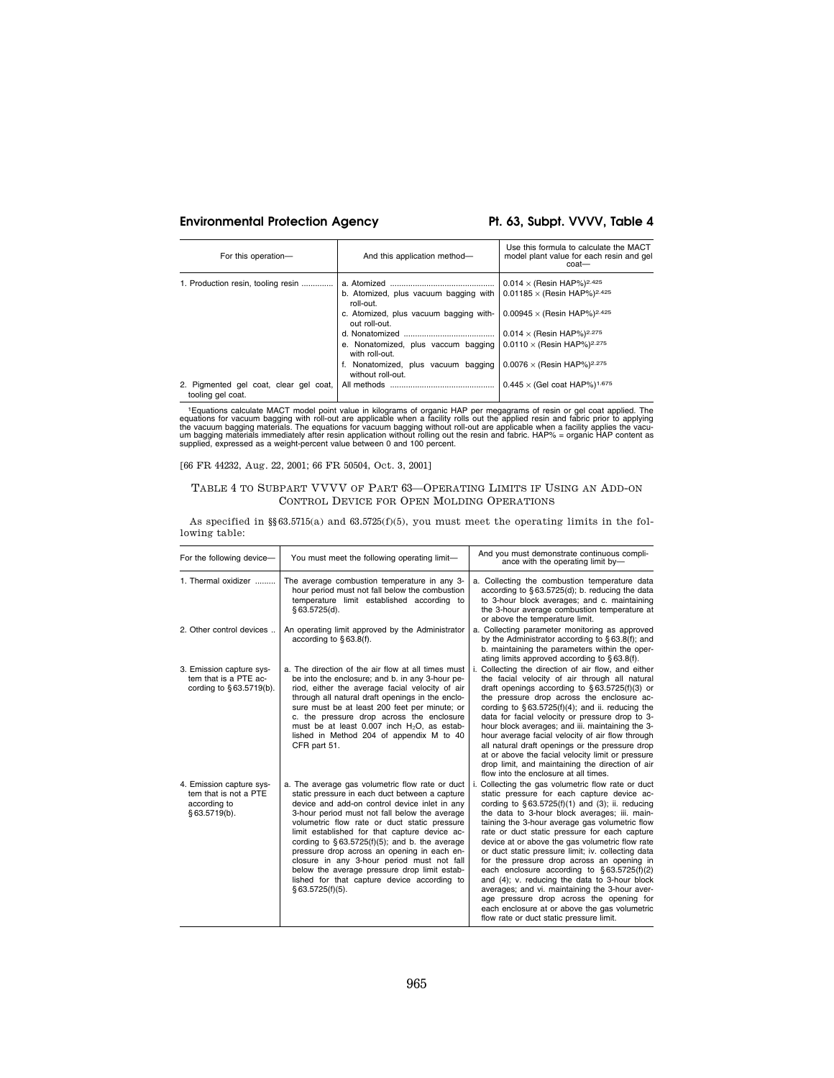# Environmental Protection Agency Pt. 63, Subpt. VVVV, Table 4

| For this operation-                                         | And this application method-                                                                        | Use this formula to calculate the MACT<br>model plant value for each resin and gel<br>$\cot$ |
|-------------------------------------------------------------|-----------------------------------------------------------------------------------------------------|----------------------------------------------------------------------------------------------|
| 1. Production resin, tooling resin                          |                                                                                                     | $0.014 \times$ (Resin HAP%) <sup>2.425</sup>                                                 |
|                                                             | b. Atomized, plus vacuum bagging with<br>roll-out.                                                  | $0.01185 \times$ (Resin HAP%) <sup>2.425</sup>                                               |
|                                                             | c. Atomized, plus vacuum bagging with-<br>out roll-out.                                             | 0.00945 $\times$ (Resin HAP%) <sup>2.425</sup>                                               |
|                                                             |                                                                                                     | $0.014 \times$ (Resin HAP%) <sup>2.275</sup>                                                 |
|                                                             | e. Nonatomized, plus vaccum bagging $0.0110 \times$ (Resin HAP%) <sup>2.275</sup><br>with roll-out. |                                                                                              |
|                                                             | f. Nonatomized, plus vacuum bagging<br>without roll-out.                                            | 0.0076 $\times$ (Resin HAP%) <sup>2.275</sup>                                                |
| 2. Pigmented gel coat, clear gel coat,<br>tooling gel coat. |                                                                                                     | $0.445 \times$ (Gel coat HAP%) <sup>1.675</sup>                                              |

<sup>1</sup>Equations calculate MACT model point value in kilograms of organic HAP per megagrams of resin or gel coat applied. The equations for vacuum bagging with coll-<br>the vacuum bagging materials. The equations for vacuum baggi

## [66 FR 44232, Aug. 22, 2001; 66 FR 50504, Oct. 3, 2001]

# TABLE 4 TO SUBPART VVVV OF PART 63—OPERATING LIMITS IF USING AN ADD-ON CONTROL DEVICE FOR OPEN MOLDING OPERATIONS

As specified in  $\S 63.5715(a)$  and  $63.5725(f)(5)$ , you must meet the operating limits in the following table:

| For the following device-                                                         | You must meet the following operating limit-                                                                                                                                                                                                                                                                                                                                                                                                                                                                                                                              | And you must demonstrate continuous compli-<br>ance with the operating limit by-                                                                                                                                                                                                                                                                                                                                                                                                                                                                                                                                                                                                                                                                            |
|-----------------------------------------------------------------------------------|---------------------------------------------------------------------------------------------------------------------------------------------------------------------------------------------------------------------------------------------------------------------------------------------------------------------------------------------------------------------------------------------------------------------------------------------------------------------------------------------------------------------------------------------------------------------------|-------------------------------------------------------------------------------------------------------------------------------------------------------------------------------------------------------------------------------------------------------------------------------------------------------------------------------------------------------------------------------------------------------------------------------------------------------------------------------------------------------------------------------------------------------------------------------------------------------------------------------------------------------------------------------------------------------------------------------------------------------------|
| 1. Thermal oxidizer                                                               | The average combustion temperature in any 3-<br>hour period must not fall below the combustion<br>temperature limit established according to<br>§63.5725(d).                                                                                                                                                                                                                                                                                                                                                                                                              | a. Collecting the combustion temperature data<br>according to §63.5725(d); b. reducing the data<br>to 3-hour block averages; and c. maintaining<br>the 3-hour average combustion temperature at<br>or above the temperature limit.                                                                                                                                                                                                                                                                                                                                                                                                                                                                                                                          |
| 2. Other control devices                                                          | An operating limit approved by the Administrator<br>according to $§ 63.8(f)$ .                                                                                                                                                                                                                                                                                                                                                                                                                                                                                            | a. Collecting parameter monitoring as approved<br>by the Administrator according to §63.8(f); and<br>b. maintaining the parameters within the oper-<br>ating limits approved according to $\S 63.8(f)$ .                                                                                                                                                                                                                                                                                                                                                                                                                                                                                                                                                    |
| 3. Emission capture sys-<br>tem that is a PTE ac-<br>cording to §63.5719(b).      | a. The direction of the air flow at all times must<br>be into the enclosure; and b. in any 3-hour pe-<br>riod, either the average facial velocity of air<br>through all natural draft openings in the enclo-<br>sure must be at least 200 feet per minute; or<br>c. the pressure drop across the enclosure<br>must be at least 0.007 inch H <sub>2</sub> O, as estab-<br>lished in Method 204 of appendix M to 40<br>CFR part 51.                                                                                                                                         | i. Collecting the direction of air flow, and either<br>the facial velocity of air through all natural<br>draft openings according to $§ 63.5725(f)(3)$ or<br>the pressure drop across the enclosure ac-<br>cording to $§ 63.5725(f)(4)$ ; and ii. reducing the<br>data for facial velocity or pressure drop to 3-<br>hour block averages; and iii. maintaining the 3-<br>hour average facial velocity of air flow through<br>all natural draft openings or the pressure drop<br>at or above the facial velocity limit or pressure<br>drop limit, and maintaining the direction of air<br>flow into the enclosure at all times.                                                                                                                              |
| 4. Emission capture sys-<br>tem that is not a PTE<br>according to<br>§63.5719(b). | a. The average gas volumetric flow rate or duct<br>static pressure in each duct between a capture<br>device and add-on control device inlet in any<br>3-hour period must not fall below the average<br>volumetric flow rate or duct static pressure<br>limit established for that capture device ac-<br>cording to $§ 63.5725(f)(5)$ ; and b. the average<br>pressure drop across an opening in each en-<br>closure in any 3-hour period must not fall<br>below the average pressure drop limit estab-<br>lished for that capture device according to<br>§ 63.5725(f)(5). | Collecting the gas volumetric flow rate or duct<br>static pressure for each capture device ac-<br>cording to $§63.5725(f)(1)$ and (3); ii. reducing<br>the data to 3-hour block averages; iii. main-<br>taining the 3-hour average gas volumetric flow<br>rate or duct static pressure for each capture<br>device at or above the gas volumetric flow rate<br>or duct static pressure limit; iv. collecting data<br>for the pressure drop across an opening in<br>each enclosure according to $§ 63.5725(f)(2)$<br>and (4); v. reducing the data to 3-hour block<br>averages; and vi. maintaining the 3-hour aver-<br>age pressure drop across the opening for<br>each enclosure at or above the gas volumetric<br>flow rate or duct static pressure limit. |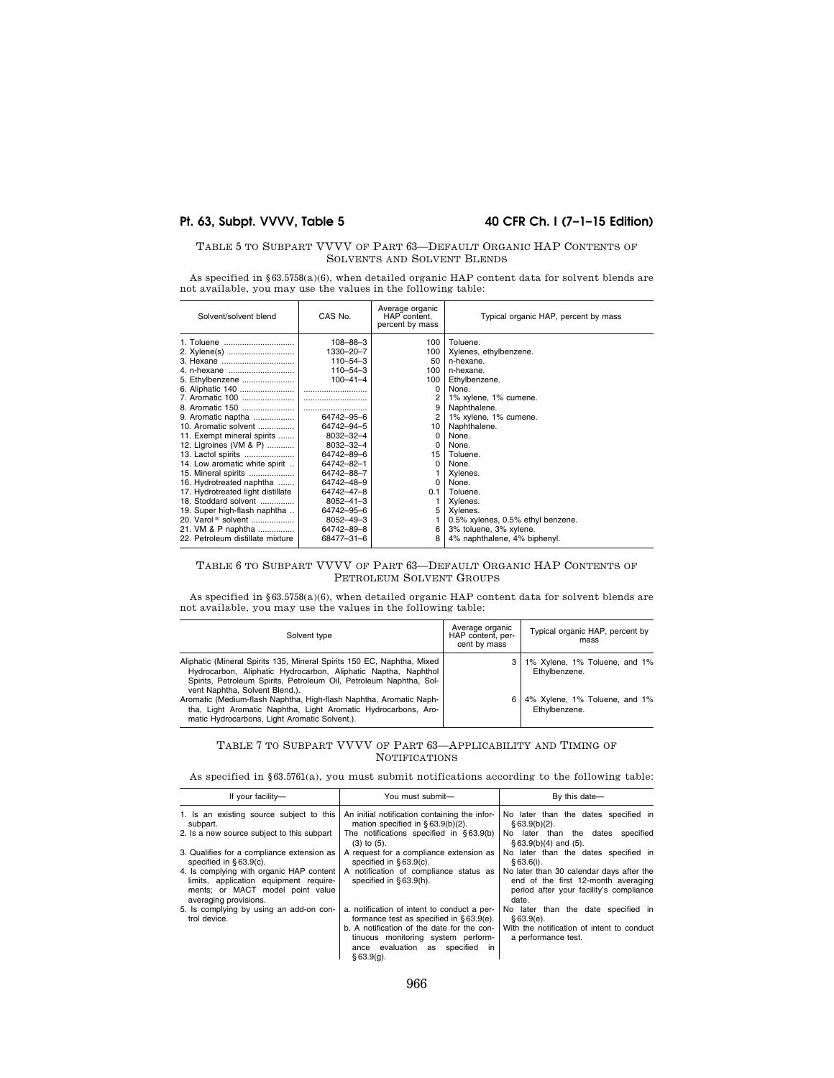# **Pt. 63, Subpt. VVVV, Table 5 40 CFR Ch. I (7–1–15 Edition)**

## TABLE 5 TO SUBPART VVVV OF PART 63—DEFAULT ORGANIC HAP CONTENTS OF SOLVENTS AND SOLVENT BLENDS

As specified in  $\S 63.5758(a)(6)$ , when detailed organic HAP content data for solvent blends are not available, you may use the values in the following table:

| Solvent/solvent blend             | CAS No.         | Average organic<br>HAP content.<br>percent by mass | Typical organic HAP, percent by mass |
|-----------------------------------|-----------------|----------------------------------------------------|--------------------------------------|
| 1. Toluene                        | $108 - 88 - 3$  | 100                                                | Toluene.                             |
| 2. Xylene(s)                      | 1330–20–7       | 100                                                | Xylenes, ethylbenzene.               |
| 3. Hexane                         | $110 - 54 - 3$  | 50                                                 | n-hexane.                            |
| 4. n-hexane                       | $110 - 54 - 3$  | 100                                                | n-hexane.                            |
| 5. Ethylbenzene                   | $100 - 41 - 4$  | 100                                                | Ethylbenzene.                        |
|                                   |                 | $\Omega$                                           | None.                                |
|                                   |                 | 2                                                  | 1% xylene, 1% cumene.                |
|                                   |                 | 9                                                  | Naphthalene.                         |
| 9. Aromatic naptha                | 64742-95-6      | 2                                                  | 1% xylene, 1% cumene.                |
| 10. Aromatic solvent              | 64742-94-5      | 10                                                 | Naphthalene.                         |
| 11. Exempt mineral spirits        | 8032-32-4       | $\Omega$                                           | None.                                |
| 12. Ligroines (VM & P)            | 8032-32-4       | 0                                                  | None.                                |
| 13. Lactol spirits                | 64742-89-6      | 15                                                 | Toluene.                             |
| 14. Low aromatic white spirit     | 64742-82-1      | <sup>0</sup>                                       | None.                                |
| 15. Mineral spirits               | 64742-88-7      |                                                    | Xylenes.                             |
| 16. Hydrotreated naphtha          | 64742-48-9      | $\Omega$                                           | None.                                |
| 17. Hydrotreated light distillate | 64742-47-8      | 0.1                                                | Toluene.                             |
| 18. Stoddard solvent              | $8052 - 41 - 3$ |                                                    | Xylenes.                             |
| 19. Super high-flash naphtha      | 64742-95-6      | 5                                                  | Xylenes.                             |
| 20. Varol <sup>®</sup> solvent    | $8052 - 49 - 3$ |                                                    | 0.5% xylenes, 0.5% ethyl benzene.    |
| 21. VM & P naphtha                | 64742-89-8      | 6                                                  | 3% toluene, 3% xylene.               |
| 22. Petroleum distillate mixture  | 68477-31-6      | 8                                                  | 4% naphthalene, 4% biphenyl.         |
|                                   |                 |                                                    |                                      |

## TABLE 6 TO SUBPART VVVV OF PART 63—DEFAULT ORGANIC HAP CONTENTS OF PETROLEUM SOLVENT GROUPS

As specified in  $\S 63.5758(a)(6)$ , when detailed organic HAP content data for solvent blends are not available, you may use the values in the following table:

| Solvent type                                                                                                                                                                                                                                     | Average organic<br>HAP content, per-<br>cent by mass | Typical organic HAP, percent by<br>mass        |
|--------------------------------------------------------------------------------------------------------------------------------------------------------------------------------------------------------------------------------------------------|------------------------------------------------------|------------------------------------------------|
| Aliphatic (Mineral Spirits 135, Mineral Spirits 150 EC, Naphtha, Mixed<br>Hydrocarbon, Aliphatic Hydrocarbon, Aliphatic Naptha, Naphthol<br>Spirits, Petroleum Spirits, Petroleum Oil, Petroleum Naphtha, Sol-<br>vent Naphtha, Solvent Blend.). | з                                                    | 1% Xylene, 1% Toluene, and 1%<br>Ethylbenzene. |
| Aromatic (Medium-flash Naphtha, High-flash Naphtha, Aromatic Naph-<br>tha, Light Aromatic Naphtha, Light Aromatic Hydrocarbons, Aro-<br>matic Hydrocarbons, Light Aromatic Solvent.).                                                            | 6                                                    | 4% Xylene, 1% Toluene, and 1%<br>Ethylbenzene. |

## TABLE 7 TO SUBPART VVVV OF PART 63—APPLICABILITY AND TIMING OF NOTIFICATIONS

As specified in  $\S 63.5761(a)$ , you must submit notifications according to the following table:

| If your facility-                                                                                                                               | You must submit-                                                                                                                                                                                                                | By this date-                                                                                                                       |  |
|-------------------------------------------------------------------------------------------------------------------------------------------------|---------------------------------------------------------------------------------------------------------------------------------------------------------------------------------------------------------------------------------|-------------------------------------------------------------------------------------------------------------------------------------|--|
| 1. Is an existing source subject to this<br>subpart.<br>2. Is a new source subject to this subpart                                              | An initial notification containing the infor-<br>mation specified in $\S 63.9(b)(2)$ .<br>The notifications specified in $§63.9(b)$                                                                                             | No later than the dates specified in<br>\$63.9(b)(2).<br>No later than the dates specified                                          |  |
|                                                                                                                                                 | $(3)$ to $(5)$ .                                                                                                                                                                                                                | $$63.9(b)(4)$ and $(5)$ .                                                                                                           |  |
| 3. Qualifies for a compliance extension as<br>specified in $§ 63.9(c)$ .                                                                        | A request for a compliance extension as<br>specified in $§ 63.9(c)$ .                                                                                                                                                           | No later than the dates specified in<br>\$63.6(i).                                                                                  |  |
| 4. Is complying with organic HAP content<br>limits, application equipment require-<br>ments; or MACT model point value<br>averaging provisions. | A notification of compliance status as<br>specified in §63.9(h).                                                                                                                                                                | No later than 30 calendar days after the<br>end of the first 12-month averaging<br>period after your facility's compliance<br>date. |  |
| 5. Is complying by using an add-on con-<br>trol device.                                                                                         | a. notification of intent to conduct a per-<br>formance test as specified in $\S 63.9(e)$ .<br>b. A notification of the date for the con-<br>tinuous monitoring system perform-<br>ance evaluation as specified in<br>§63.9(q). | No later than the date specified in<br>$$63.9(e)$ .<br>With the notification of intent to conduct<br>a performance test.            |  |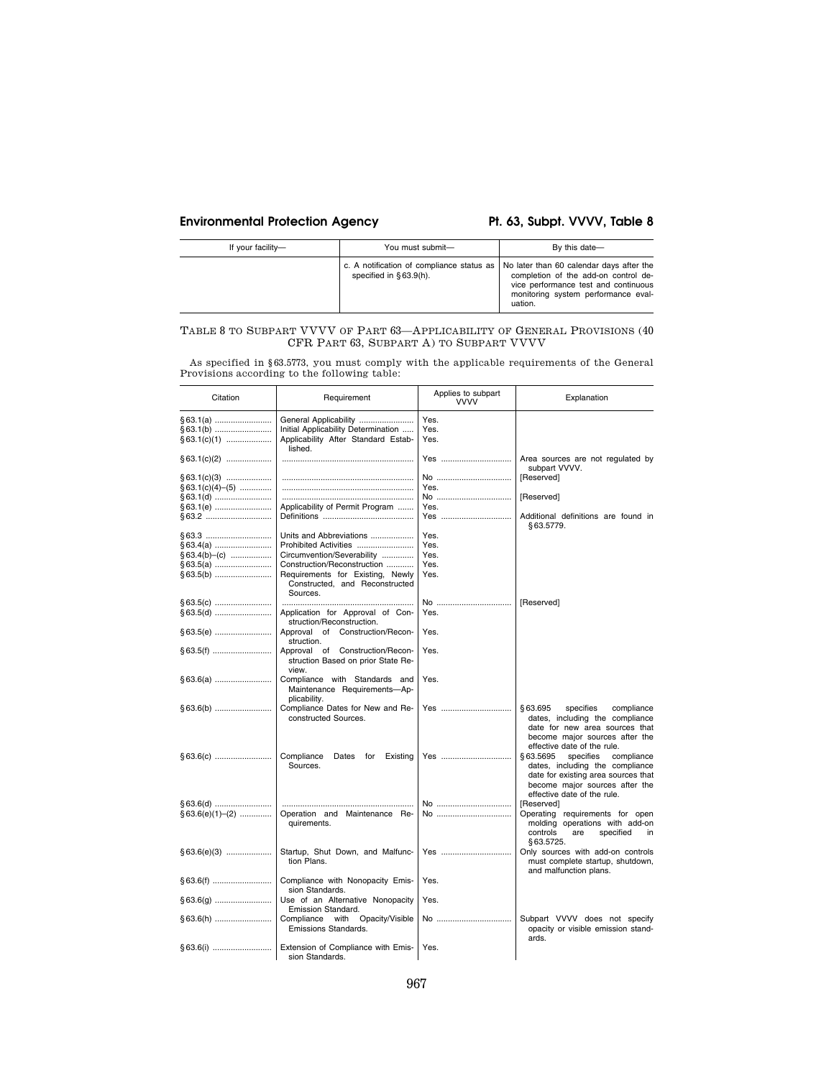# Environmental Protection Agency Pt. 63, Subpt. VVVV, Table 8

| If your facility- | You must submit-                                                                                                         | By this date-                                                                                                                  |
|-------------------|--------------------------------------------------------------------------------------------------------------------------|--------------------------------------------------------------------------------------------------------------------------------|
|                   | c. A notification of compliance status as $\vert$ No later than 60 calendar days after the<br>specified in $§ 63.9(h)$ . | completion of the add-on control de-<br>vice performance test and continuous<br>monitoring system performance eval-<br>uation. |

#### TABLE 8 TO SUBPART VVVV OF PART 63—APPLICABILITY OF GENERAL PROVISIONS (40 CFR PART 63, SUBPART A) TO SUBPART VVVV

As specified in §63.5773, you must comply with the applicable requirements of the General Provisions according to the following table:

| Citation                            | Requirement                                                                                                    | Applies to subpart<br><b>VVVV</b> | Explanation                                                                                                                                                                     |
|-------------------------------------|----------------------------------------------------------------------------------------------------------------|-----------------------------------|---------------------------------------------------------------------------------------------------------------------------------------------------------------------------------|
|                                     | General Applicability<br>Initial Applicability Determination<br>Applicability After Standard Estab-<br>lished. | Yes.<br>Yes.<br>Yes.              |                                                                                                                                                                                 |
| $§ 63.1(c)(2)$                      |                                                                                                                | Yes                               | Area sources are not regulated by<br>subpart VVVV.                                                                                                                              |
| $§63.1(c)(3)$<br>$§ 63.1(c)(4)–(5)$ |                                                                                                                | No<br>Yes.                        | [Reserved]                                                                                                                                                                      |
|                                     | Applicability of Permit Program                                                                                | No<br>Yes.                        | [Reserved]                                                                                                                                                                      |
| §63.2                               |                                                                                                                | Yes                               | Additional definitions are found in<br>§63.5779.                                                                                                                                |
| §63.3                               | Units and Abbreviations<br>Prohibited Activities                                                               | Yes.<br>Yes.                      |                                                                                                                                                                                 |
| $§ 63.4(b) - (c)$                   | Circumvention/Severability                                                                                     | Yes.                              |                                                                                                                                                                                 |
|                                     | Construction/Reconstruction                                                                                    | Yes.                              |                                                                                                                                                                                 |
|                                     | Requirements for Existing, Newly<br>Constructed, and Reconstructed<br>Sources.                                 | Yes.                              |                                                                                                                                                                                 |
|                                     |                                                                                                                | No                                | [Reserved]                                                                                                                                                                      |
|                                     | Application for Approval of Con-<br>struction/Reconstruction.                                                  | Yes.                              |                                                                                                                                                                                 |
| §63.5(e)                            | Approval of Construction/Recon-<br>struction.                                                                  | Yes.                              |                                                                                                                                                                                 |
|                                     | Approval of Construction/Recon-<br>struction Based on prior State Re-<br>view.                                 | Yes.                              |                                                                                                                                                                                 |
|                                     | Compliance with Standards and<br>Maintenance Requirements-Ap-<br>plicability.                                  | Yes.                              |                                                                                                                                                                                 |
|                                     | Compliance Dates for New and Re-<br>constructed Sources.                                                       | Yes                               | §63.695<br>specifies<br>compliance<br>dates, including the compliance<br>date for new area sources that<br>become major sources after the<br>effective date of the rule.        |
|                                     | Compliance<br>Dates for<br>Existing<br>Sources.                                                                | Yes                               | specifies<br>\$63.5695<br>compliance<br>dates, including the compliance<br>date for existing area sources that<br>become major sources after the<br>effective date of the rule. |
| §63.6(d)<br>$§63.6(e)(1)–(2)$       | Operation and Maintenance Re-<br>quirements.                                                                   | No<br>No                          | [Reserved]<br>Operating requirements for open<br>molding operations with add-on<br>controls<br>specified<br>are<br><i>in</i><br>§63.5725.                                       |
| $§63.6(e)(3)$                       | Startup, Shut Down, and Malfunc-<br>tion Plans.                                                                | Yes                               | Only sources with add-on controls<br>must complete startup, shutdown,<br>and malfunction plans.                                                                                 |
|                                     | Compliance with Nonopacity Emis-<br>sion Standards.                                                            | Yes.                              |                                                                                                                                                                                 |
|                                     | Use of an Alternative Nonopacity<br>Emission Standard.                                                         | Yes.                              |                                                                                                                                                                                 |
|                                     | Compliance with<br>Opacity/Visible<br>Emissions Standards.                                                     | No                                | Subpart VVVV does not specify<br>opacity or visible emission stand-<br>ards.                                                                                                    |
|                                     | Extension of Compliance with Emis-<br>sion Standards.                                                          | Yes.                              |                                                                                                                                                                                 |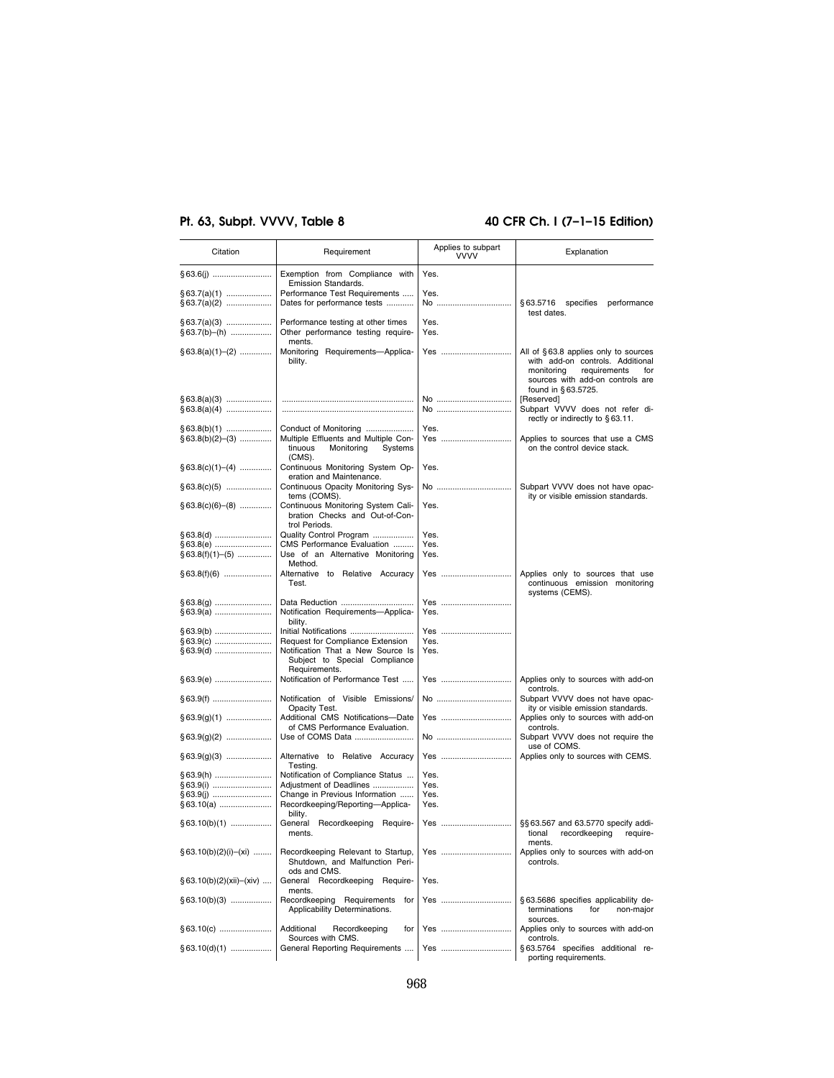# **Pt. 63, Subpt. VVVV, Table 8 40 CFR Ch. I (7–1–15 Edition)**

| Citation                             | Requirement                                                                                                    | Applies to subpart<br><b>VVVV</b> | Explanation                                                                                                                                                             |
|--------------------------------------|----------------------------------------------------------------------------------------------------------------|-----------------------------------|-------------------------------------------------------------------------------------------------------------------------------------------------------------------------|
| §63.6(j)                             | Exemption from Compliance with<br>Emission Standards.                                                          | Yes.                              |                                                                                                                                                                         |
| §63.7(a)(1)                          | Performance Test Requirements<br>Dates for performance tests                                                   | Yes.<br>No                        | §63.5716 specifies<br>performance                                                                                                                                       |
| $§ 63.7(a)(3)$<br>§63.7(b)-(h)       | Performance testing at other times<br>Other performance testing require-<br>ments.                             | Yes.<br>Yes.                      | test dates.                                                                                                                                                             |
| $§ 63.8(a)(1)–(2)$                   | Monitoring Requirements-Applica-<br>bility.                                                                    | Yes                               | All of §63.8 applies only to sources<br>with add-on controls. Additional<br>monitoring<br>requirements<br>for<br>sources with add-on controls are<br>found in §63.5725. |
|                                      |                                                                                                                | No<br>No                          | <b>IReservedl</b><br>Subpart VVVV does not refer di-<br>rectly or indirectly to §63.11.                                                                                 |
| $§ 63.8(b)(1)$<br>$§ 63.8(b)(2)–(3)$ | Conduct of Monitoring<br>Multiple Effluents and Multiple Con-<br>tinuous<br>Monitoring<br>Systems<br>$(CMS)$ . | Yes.<br>Yes                       | Applies to sources that use a CMS<br>on the control device stack.                                                                                                       |
| $§ 63.8(c)(1)–(4)$                   | Continuous Monitoring System Op-<br>eration and Maintenance.                                                   | Yes.                              |                                                                                                                                                                         |
|                                      | Continuous Opacity Monitoring Sys-<br>tems (COMS).                                                             | No                                | Subpart VVVV does not have opac-<br>ity or visible emission standards.                                                                                                  |
| $§ 63.8(c)(6)–(8)$                   | Continuous Monitoring System Cali-<br>bration Checks and Out-of-Con-<br>trol Periods.                          | Yes.                              |                                                                                                                                                                         |
| §63.8(e)                             | Quality Control Program<br>CMS Performance Evaluation                                                          | Yes.<br>Yes.                      |                                                                                                                                                                         |
| $§ 63.8(f)(1)–(5)$                   | Use of an Alternative Monitoring<br>Method.                                                                    | Yes.                              |                                                                                                                                                                         |
|                                      | Alternative to Relative Accuracy<br>Test.                                                                      | Yes                               | Applies only to sources that use<br>continuous emission monitoring<br>systems (CEMS).                                                                                   |
| §63.9(a)                             | Data Reduction<br>Notification Requirements-Applica-<br>bility.                                                | Yes<br>Yes.                       |                                                                                                                                                                         |
|                                      | Initial Notifications<br>Request for Compliance Extension                                                      | Yes<br>Yes.                       |                                                                                                                                                                         |
| §63.9(c)<br>§63.9(d)                 | Notification That a New Source Is<br>Subject to Special Compliance<br>Requirements.                            | Yes.                              |                                                                                                                                                                         |
| §63.9(e)                             | Notification of Performance Test                                                                               | Yes                               | Applies only to sources with add-on<br>controls.                                                                                                                        |
| §63.9(f)                             | Notification of Visible Emissions/<br>Opacity Test.                                                            | No                                | Subpart VVVV does not have opac-<br>ity or visible emission standards.                                                                                                  |
|                                      | Additional CMS Notifications-Date<br>of CMS Performance Evaluation.                                            | Yes                               | Applies only to sources with add-on<br>controls.                                                                                                                        |
|                                      | Use of COMS Data                                                                                               | No                                | Subpart VVVV does not require the<br>use of COMS.                                                                                                                       |
|                                      | Alternative to Relative Accuracy<br>Testing.                                                                   | Yes                               | Applies only to sources with CEMS.                                                                                                                                      |
| §63.9(h)<br>§63.9(i)                 | Notification of Compliance Status<br>Adjustment of Deadlines                                                   | Yes.<br>Yes.                      |                                                                                                                                                                         |
| §63.10(a)                            | Change in Previous Information<br>Recordkeeping/Reporting-Applica-                                             | Yes.<br>Yes.                      |                                                                                                                                                                         |
| $§ 63.10(b)(1)$                      | bility.<br>General Recordkeeping Require-<br>ments.                                                            | Yes                               | §§ 63.567 and 63.5770 specify addi-<br>recordkeeping<br>tional<br>require-<br>ments.                                                                                    |
| $§ 63.10(b)(2)(i)–(xi)$              | Recordkeeping Relevant to Startup,<br>Shutdown, and Malfunction Peri-<br>ods and CMS.                          |                                   | Applies only to sources with add-on<br>controls.                                                                                                                        |
| $§ 63.10(b)(2)(xii) - (xiv)$         | General Recordkeeping Require-<br>ments.                                                                       | Yes.                              |                                                                                                                                                                         |
| $§63.10(b)(3)$                       | Recordkeeping Requirements for<br>Applicability Determinations.                                                | Yes                               | §63.5686 specifies applicability de-<br>terminations<br>for<br>non-major<br>sources.                                                                                    |
| §63.10(c)                            | Additional<br>Recordkeeping<br>for<br>Sources with CMS.                                                        | Yes                               | Applies only to sources with add-on<br>controls.                                                                                                                        |
| $§ 63.10(d)(1)$                      | General Reporting Requirements                                                                                 | Yes                               | §63.5764 specifies additional re-<br>porting requirements.                                                                                                              |